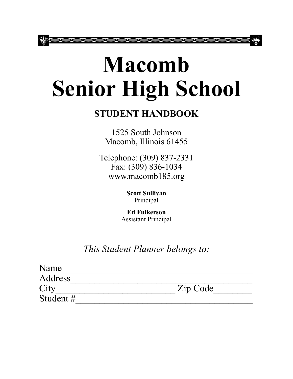# **Macomb Senior High School**

# **STUDENT HANDBOOK**

1525 South Johnson Macomb, Illinois 61455

Telephone: (309) 837-2331 Fax: (309) 836-1034 www.macomb185.org

> **Scott Sullivan** Principal

**Ed Fulkerson** Assistant Principal

*This Student Planner belongs to:*

| Name           |          |
|----------------|----------|
| <b>Address</b> |          |
| City           | Zip Code |
| Student #      |          |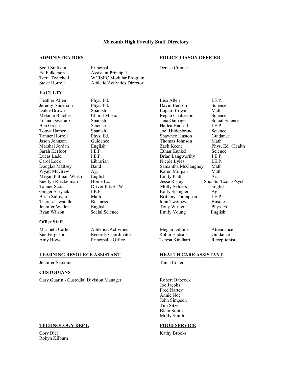#### **Macomb High Faculty Staff Directory**

#### **ADMINISTRATORS POLICE LIASON OFFICER**

Scott Sullivan Principal Denise Cremer Ed Fulkerson Assistant Principal Steve Horrell **Athletic/Activities Director** 

#### **FACULTY**

Heather Allen Phys. Ed. Clisa Allen I.E.P.<br>1. Jeremy Anderson Phys. Ed. David Benson Science Jeremy Anderson

WCISEC Modular Program

#### **Office Staff**

Maribeth Carle Athletics/Activities Megan Dildine Attendance Sue Ferguson Records Coordinator Robin Hadsall Guidance Amy Howe Principal's Office Teresa Kindhart Receptionist

#### **LEARNING RESOURCE ASSISTANT HEALTH CARE ASSISTANT**

Jennifer Semonis Tania Coker

#### **CUSTODIANS**

Gary Guarin - Custodial Division Manager Robert Babcock

#### **TECHNOLOGY DEPT. FOOD SERVICE**

Cory Bice Kathy Brooks Robyn Kilburn

Dulce Brown Spanish Choral Music Negan Brown Math<br>
Melanie Butcher Choral Music Regan Chatterton Scien Melanie Butcher Choral Music Regan Chatterton Science Loana Deveraux Spanish Jana Gamage Social Science Ben Green Science Hailea Hadsall I.E.P. Tonya Hamer Spanish Joel Hildenbrand Science Tanner Horrell Phys. Ed. Shawnee Huston Guidance Vason Johnson Guidance (Guidance Thomas Johnson Math Marshal Johnson Math Marshal Johnson Math Cach Keene Phys. English Zach Keene Phys. Ed. /Health Sarah Kerfoot I.E.P. Ethan Kunkel Science Lucas Ladd I.E.P. Brian Langworthy I.E.P. Carol Lock Librarian Nicole Lyles I.E.P. Douglas Mattsey Band Samantha McGaughey Math Wyatt McGrew Ag. Ag. Karen Morgan Math Megan Pittman Wurth English Emily Platt Art<br>
Suellyn Rieckelman Home Ec. Suellyn Rieckelman Home Ec. Suellyn Rieckelman Home Ec. Jesse Risley Soc. Sci/Econ./Psych<br>
Tanner Scott Driver Ed./BTW Molly Selders English Driver Ed./BTW Molly Selders English Ginger Shryack I.E.P Kaity Spangler Ag Math Brittany Thompson Theresa Twaddle Business John Twomey Business Jennifer Waller English Tony Westen Phys. Ed. Ryan Wilson Social Science Emily Young English

Joe Jacobs Fred Nartey Annie Noe John Simpson Tim Sitzes Blain Smith Molly Smith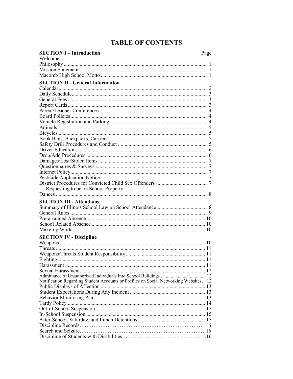# **TABLE OF CONTENTS**

| <b>SECTION I-Introduction</b>                                                        | Page |
|--------------------------------------------------------------------------------------|------|
| Welcome                                                                              |      |
|                                                                                      |      |
|                                                                                      |      |
|                                                                                      |      |
| <b>SECTION II - General Information</b>                                              |      |
|                                                                                      |      |
|                                                                                      |      |
|                                                                                      |      |
|                                                                                      |      |
|                                                                                      |      |
|                                                                                      |      |
|                                                                                      |      |
|                                                                                      |      |
|                                                                                      |      |
|                                                                                      |      |
|                                                                                      |      |
|                                                                                      |      |
|                                                                                      |      |
|                                                                                      |      |
|                                                                                      |      |
|                                                                                      |      |
|                                                                                      |      |
|                                                                                      |      |
| Requesting to be on School Property                                                  |      |
|                                                                                      |      |
| <b>SECTION III - Attendance</b>                                                      |      |
|                                                                                      |      |
|                                                                                      |      |
|                                                                                      |      |
|                                                                                      |      |
|                                                                                      |      |
|                                                                                      |      |
| <b>SECTION IV - Discipline</b>                                                       |      |
|                                                                                      |      |
|                                                                                      |      |
|                                                                                      |      |
|                                                                                      |      |
|                                                                                      |      |
|                                                                                      |      |
|                                                                                      |      |
| Notification Regarding Student Accounts or Profiles on Social Networking Websites 12 |      |
|                                                                                      |      |
|                                                                                      |      |
|                                                                                      |      |
|                                                                                      |      |
|                                                                                      |      |
|                                                                                      |      |
|                                                                                      |      |
|                                                                                      |      |
|                                                                                      |      |
|                                                                                      |      |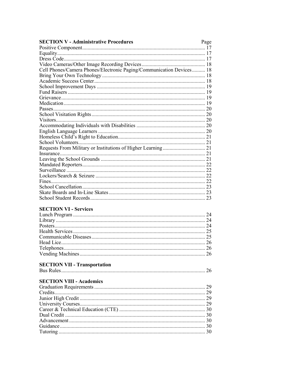| <b>SECTION V - Administrative Procedures</b>                         | Page |
|----------------------------------------------------------------------|------|
|                                                                      |      |
|                                                                      |      |
|                                                                      |      |
|                                                                      |      |
| Cell Phones/Camera Phones/Electronic Paging/Communication Devices 18 |      |
|                                                                      |      |
|                                                                      |      |
|                                                                      |      |
|                                                                      |      |
|                                                                      |      |
|                                                                      |      |
|                                                                      |      |
|                                                                      |      |
|                                                                      |      |
|                                                                      |      |
|                                                                      |      |
|                                                                      |      |
|                                                                      |      |
|                                                                      |      |
|                                                                      |      |
|                                                                      |      |
|                                                                      |      |
|                                                                      |      |
|                                                                      |      |
|                                                                      |      |
|                                                                      |      |
|                                                                      |      |
|                                                                      |      |

# **SECTION VI - Services**

# **SECTION VII - Transportation**

# **SECTION VIII - Academics**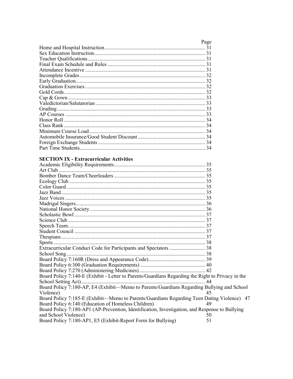| Page |
|------|
|      |
|      |
|      |
|      |
|      |
|      |
|      |
|      |
|      |
|      |
|      |
|      |
|      |
|      |
|      |
|      |
|      |
|      |
|      |

# **SECTION IX - Extracurricular Activities**

| Board Policy 7:140-E (Exhibit - Letter to Parents/Guardians Regarding the Right to Privacy in the |    |
|---------------------------------------------------------------------------------------------------|----|
|                                                                                                   |    |
| Board Policy 7:180-AP, E4 (Exhibit—Memo to Parents/Guardians Regarding Bullying and School        |    |
| Violence)                                                                                         | 45 |
| Board Policy 7:185-E (Exhibit-Memo to Parents/Guardians Regarding Teen Dating Violence) 47        |    |
| Board Policy 6:140 (Education of Homeless Children)                                               | 49 |
| Board Policy 7:180-AP1 (AP-Prevention, Identification, Investigation, and Response to Bullying    |    |
| and School Violence)                                                                              | 50 |
| Board Policy 7:180-AP1, E5 (Exhibit-Report Form for Bullying)                                     | 51 |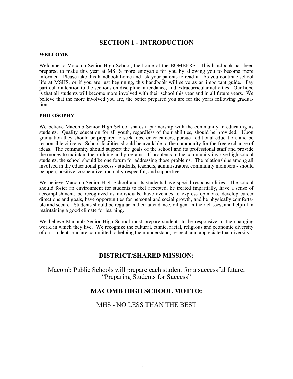# **SECTION 1 - INTRODUCTION**

#### **WELCOME**

Welcome to Macomb Senior High School, the home of the BOMBERS. This handbook has been prepared to make this year at MSHS more enjoyable for you by allowing you to become more informed. Please take this handbook home and ask your parents to read it. As you continue school life at MSHS, or if you are just beginning, this handbook will serve as an important guide. Pay particular attention to the sections on discipline, attendance, and extracurricular activities. Our hope is that all students will become more involved with their school this year and in all future years. We believe that the more involved you are, the better prepared you are for the years following graduation.

#### **PHILOSOPHY**

We believe Macomb Senior High School shares a partnership with the community in educating its students. Quality education for all youth, regardless of their abilities, should be provided. Upon graduation they should be prepared to seek jobs, enter careers, pursue additional education, and be responsible citizens. School facilities should be available to the community for the free exchange of ideas. The community should support the goals of the school and its professional staff and provide the money to maintain the building and programs. If problems in the community involve high school students, the school should be one forum for addressing those problems. The relationships among all involved in the educational process - students, teachers, administrators, community members - should be open, positive, cooperative, mutually respectful, and supportive.

We believe Macomb Senior High School and its students have special responsibilities. The school should foster an environment for students to feel accepted, be treated impartially, have a sense of accomplishment, be recognized as individuals, have avenues to express opinions, develop career directions and goals, have opportunities for personal and social growth, and be physically comfortable and secure. Students should be regular in their attendance, diligent in their classes, and helpful in maintaining a good climate for learning.

We believe Macomb Senior High School must prepare students to be responsive to the changing world in which they live. We recognize the cultural, ethnic, racial, religious and economic diversity of our students and are committed to helping them understand, respect, and appreciate that diversity.

# **DISTRICT/SHARED MISSION:**

Macomb Public Schools will prepare each student for a successful future. "Preparing Students for Success"

# **MACOMB HIGH SCHOOL MOTTO:**

# MHS - NO LESS THAN THE BEST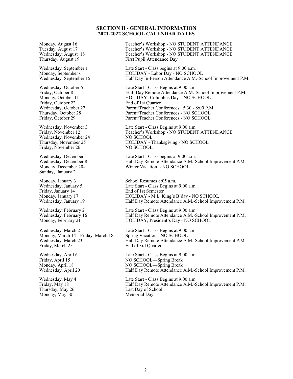#### **SECTION II - GENERAL INFORMATION 2021-2022 SCHOOL CALENDAR DATES**

Friday, October 22 End of 1st Quarter

Wednesday, November 24 NO SCHOOL Friday, November 26 NO SCHOOL

Sunday, January 2

Friday, January 14 End of 1st Semester

Monday, March 14 - Friday, March 18 Spring Vacation - NO SCHOOL Friday, March 25 End of 3rd Quarter

Monday, May 30

Monday, August 16 Teacher's Workshop - NO STUDENT ATTENDANCE Tuesday, August 17 Teacher's Workshop - NO STUDENT ATTENDANCE Wednesday, August 18 Teacher's Workshop - NO STUDENT ATTENDANCE Thursday, August 19 First Pupil Attendance Day

Wednesday, September 1 Late Start - Class begins at 9:00 a.m.<br>Monday, September 6 HOLIDAY - Labor Day - NO SCHO Monday, September 6 HOLIDAY - Labor Day - NO SCHOOL<br>Wednesday, September 15 Half Day In-Person Attendance A.M.-Sc Half Day In-Person Attendance A.M.-School Improvement P.M.

Wednesday, October 6 Late Start - Class Begins at 9:00 a.m. Friday, October 8 **Half Day Remote Attendance A.M.-School Improvement P.M.** Monday, October 11 **HOLIDAY** -Columbus Day—NO SCHOOL Wednesday, October 27 Parent/Teacher Conferences 5:30 - 8:00 P.M.<br>Thursday, October 28 Parent/Teacher Conferences - NO SCHOOL Thursday, October 28 Parent/Teacher Conferences - NO SCHOOL Parent/Teacher Conferences - NO SCHOOL

Wednesday, November 3 Late Start - Class Begins at 9:00 a.m. Friday, November 12 Teacher's Workshop - NO STUDENT ATTENDANCE Thursday, November 25 HOLIDAY - Thanksgiving - NO SCHOOL

Wednesday, December 1 Late Start - Class begins at 9:00 a.m. Wednesday, December 8 Half Day Remote Attendance A.M.-School Improvement P.M. Monday, December 20- Winter Vacation - NO SCHOOL

Monday, January 3 School Resumes 8:05 a.m. Wednesday, January 5 Late Start - Class Begins at 9:00 a.m. Monday, January 17 HOLIDAY - M.L. King's B'day - NO SCHOOL Wednesday, January 19 Half Day Remote Attendance A.M.-School Improvement P.M.

Wednesday, February 2 Late Start - Class Begins at 9:00 a.m. Wednesday, February 16 Half Day Remote Attendance A.M.-School Improvement P.M.<br>Monday, February 21 HOLIDAY, President's Day - NO SCHOOL HOLIDAY, President's Day - NO SCHOOL

Wednesday, March 2 Late Start - Class Begins at 9:00 a.m. Wednesday, March 23 Half Day Remote Attendance A.M.-School Improvement P.M.

Wednesday, April 6 Late Start - Class Begins at 9:00 a.m. Friday, April 15 NO SCHOOL—Spring Break Monday, April 18 NO SCHOOL—Spring Break Wednesday, April 20 Half Day Remote Attendance A.M.-School Improvement P.M.

Wednesday, May 4 Late Start - Class Begins at 9:00 a.m. Friday, May 18 **Half Day Remote Attendance A.M.-School Improvement P.M.** Thursday, May 26 **Last Day of School**<br>
Monday, May 30 **Memorial** Day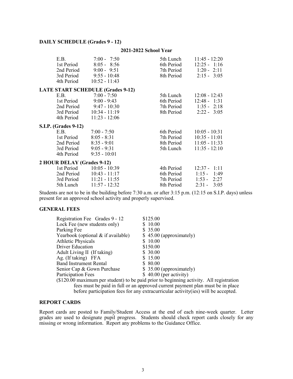#### **DAILY SCHEDULE (Grades 9 - 12)**

#### **2021-2022 School Year**

|                            | E.B.                        | $7:00 - 7:50$                            |            | 5th Lunch 11:45 - 12:20  |
|----------------------------|-----------------------------|------------------------------------------|------------|--------------------------|
|                            | 1st Period                  | $8:05 - 8:56$                            |            | 6th Period 12:25 - 1:16  |
|                            | 2nd Period                  | $9:00 - 9:51$                            |            | 7th Period 1:20 - 2:11   |
|                            |                             | 3rd Period 9:55 - 10:48                  |            | 8th Period 2:15 - 3:05   |
|                            |                             | 4th Period 10:52 - 11:43                 |            |                          |
|                            |                             | <b>LATE START SCHEDULE (Grades 9-12)</b> |            |                          |
|                            | E.B.                        | $7:00 - 7:50$                            |            | 5th Lunch 12:08 - 12:43  |
|                            |                             | 1st Period 9:00 - 9:43                   |            | 6th Period 12:48 - 1:31  |
|                            |                             | 2nd Period 9:47 - 10:30                  |            | 7th Period 1:35 - 2:18   |
|                            |                             | 3rd Period 10:34 - 11:19                 |            | 8th Period 2:22 - 3:05   |
|                            |                             | 4th Period 11:23 - 12:06                 |            |                          |
|                            | <b>S.I.P.</b> (Grades 9-12) |                                          |            |                          |
|                            | E.B.                        | $7:00 - 7:50$                            | 6th Period | $10:05 - 10:31$          |
|                            | 1st Period                  | $8:05 - 8:31$                            | 7th Period | $10:35 - 11:01$          |
|                            |                             | 2nd Period 8:35 - 9:01                   |            | 8th Period 11:05 - 11:33 |
|                            |                             | 3rd Period 9:05 - 9:31                   | 5th Lunch  | $11:35 - 12:10$          |
|                            |                             | 4th Period 9:35 - 10:01                  |            |                          |
| 2 HOUR DELAY (Grades 9-12) |                             |                                          |            |                          |
|                            |                             | 1st Period 10:05 - 10:39                 |            | 4th Period 12:37 - 1:11  |
|                            |                             | 2nd Period 10:43 - 11:17                 |            | 6th Period 1:15 - 1:49   |
|                            |                             | 3rd Period 11:21 - 11:55                 | 7th Period | $1:53 - 2:27$            |
|                            |                             | 5th Lunch 11:57 - 12:32                  | 8th Period | $2:31 - 3:05$            |

Students are not to be in the building before 7:30 a.m. or after 3:15 p.m. (12:15 on S.I.P. days) unless present for an approved school activity and properly supervised.

#### **GENERAL FEES**

| Registration Fee Grades 9 - 12                                                          | \$125.00                 |  |  |
|-----------------------------------------------------------------------------------------|--------------------------|--|--|
| Lock Fee (new students only)                                                            | \$10.00                  |  |  |
| Parking Fee                                                                             | \$35.00                  |  |  |
| Yearbook (optional $\&$ if available)                                                   | $$45.00$ (approximately) |  |  |
| <b>Athletic Physicals</b>                                                               | \$ 10.00                 |  |  |
| <b>Driver Education</b>                                                                 | \$150.00                 |  |  |
| Adult Living II (If taking)                                                             | \$ 30.00                 |  |  |
| Ag. (If taking) FFA                                                                     | \$15.00                  |  |  |
| <b>Band Instrument Rental</b>                                                           | \$ 80.00                 |  |  |
| Senior Cap & Gown Purchase                                                              | \$35.00 (approximately)  |  |  |
| Participation Fees                                                                      | $$40.00$ (per activity)  |  |  |
| (\$120.00 maximum per student) to be paid prior to beginning activity. All registration |                          |  |  |
| fees must be paid in full or an approved current payment plan must be in place          |                          |  |  |
| before participation fees for any extracurricular activity (ies) will be accepted.      |                          |  |  |

#### **REPORT CARDS**

Report cards are posted to Family/Student Access at the end of each nine-week quarter. Letter grades are used to designate pupil progress. Students should check report cards closely for any missing or wrong information. Report any problems to the Guidance Office.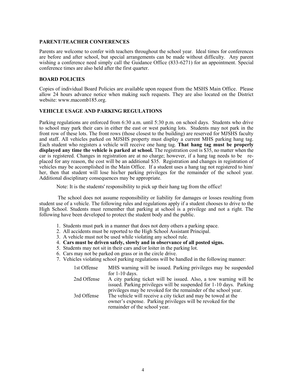#### **PARENT/TEACHER CONFERENCES**

Parents are welcome to confer with teachers throughout the school year. Ideal times for conferences are before and after school, but special arrangements can be made without difficulty. Any parent wishing a conference need simply call the Guidance Office (833-6271) for an appointment. Special conference times are also held after the first quarter.

#### **BOARD POLICIES**

Copies of individual Board Policies are available upon request from the MSHS Main Office. Please allow 24 hours advance notice when making such requests. They are also located on the District website: www.macomb185.org.

#### **VEHICLE USAGE AND PARKING REGULATIONS**

Parking regulations are enforced from 6:30 a.m. until 5:30 p.m. on school days. Students who drive to school may park their cars in either the east or west parking lots. Students may not park in the front row of these lots. The front rows (those closest to the building) are reserved for MJSHS faculty and staff. All vehicles parked on MJSHS property must display a current MHS parking hang tag. Each student who registers a vehicle will receive one hang tag. **That hang tag must be properly displayed any time the vehicle is parked at school.** The registration cost is \$35, no matter when the car is registered. Changes in registration are at no charge; however, if a hang tag needs to be replaced for any reason, the cost will be an additional \$35. Registration and changes in registration of vehicles may be accomplished in the Main Office. If a student uses a hang tag not registered to him/ her, then that student will lose his/her parking privileges for the remainder of the school year. Additional disciplinary consequences may be appropriate.

Note: It is the students' responsibility to pick up their hang tag from the office!

The school does not assume responsibility or liability for damages or losses resulting from student use of a vehicle. The following rules and regulations apply if a student chooses to drive to the High School. Students must remember that parking at school is a privilege and not a right. The following have been developed to protect the student body and the public.

- 1. Students must park in a manner that does not deny others a parking space.
- 2. All accidents must be reported to the High School Assistant Principal.
- 3. A vehicle must not be used while violating any school rule.
- 4. **Cars must be driven safely, slowly and in observance of all posted signs.**
- 5. Students may not sit in their cars and/or loiter in the parking lot.
- 6. Cars may not be parked on grass or in the circle drive.
- 7. Vehicles violating school parking regulations will be handled in the following manner:

| 1st Offense | MHS warning will be issued. Parking privileges may be suspended     |
|-------------|---------------------------------------------------------------------|
|             | for $1-10$ days.                                                    |
| 2nd Offense | A city parking ticket will be issued. Also, a tow warning will be   |
|             | issued. Parking privileges will be suspended for 1-10 days. Parking |
|             | privileges may be revoked for the remainder of the school year.     |
| 3rd Offense | The vehicle will receive a city ticket and may be towed at the      |
|             | owner's expense. Parking privileges will be revoked for the         |
|             | remainder of the school year.                                       |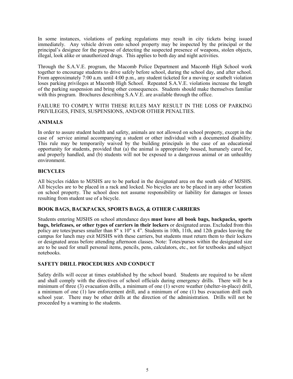In some instances, violations of parking regulations may result in city tickets being issued immediately. Any vehicle driven onto school property may be inspected by the principal or the principal's designee for the purpose of detecting the suspected presence of weapons, stolen objects, illegal, look alike or unauthorized drugs. This applies to both day and night activities.

Through the S.A.V.E. program, the Macomb Police Department and Macomb High School work together to encourage students to drive safely before school, during the school day, and after school. From approximately 7:00 a.m. until 4:00 p.m., any student ticketed for a moving or seatbelt violation loses parking privileges at Macomb High School. Repeated S.A.V.E. violations increase the length of the parking suspension and bring other consequences. Students should make themselves familiar with this program. Brochures describing S.A.V.E. are available through the office.

#### FAILURE TO COMPLY WITH THESE RULES MAY RESULT IN THE LOSS OF PARKING PRIVILEGES, FINES, SUSPENSIONS, AND/OR OTHER PENALTIES.

#### **ANIMALS**

In order to assure student health and safety, animals are not allowed on school property, except in the case of service animal accompanying a student or other individual with a documented disability. This rule may be temporarily waived by the building principals in the case of an educational opportunity for students, provided that (a) the animal is appropriately housed, humanely cared for, and properly handled, and (b) students will not be exposed to a dangerous animal or an unhealthy environment.

#### **BICYCLES**

All bicycles ridden to MJSHS are to be parked in the designated area on the south side of MJSHS. All bicycles are to be placed in a rack and locked. No bicycles are to be placed in any other location on school property. The school does not assume responsibility or liability for damages or losses resulting from student use of a bicycle.

#### **BOOK BAGS, BACKPACKS, SPORTS BAGS, & OTHER CARRIERS**

Students entering MJSHS on school attendance days **must leave all book bags, backpacks, sports bags, briefcases, or other types of carriers in their lockers** or designated areas. Excluded from this policy are totes/purses smaller than 8" x 10" x 4". Students in 10th, 11th, and 12th grades leaving the campus for lunch may exit MJSHS with these carriers, but students must return them to their lockers or designated areas before attending afternoon classes. Note: Totes/purses within the designated size are to be used for small personal items, pencils, pens, calculators, etc., not for textbooks and subject notebooks.

#### **SAFETY DRILL PROCEDURES AND CONDUCT**

Safety drills will occur at times established by the school board. Students are required to be silent and shall comply with the directives of school officials during emergency drills. There will be a minimum of three (3) evacuation drills, a minimum of one (1) severe weather (shelter-in-place) drill, a minimum of one (1) law enforcement drill, and a minimum of one (1) bus evacuation drill each school year. There may be other drills at the direction of the administration. Drills will not be proceeded by a warning to the students.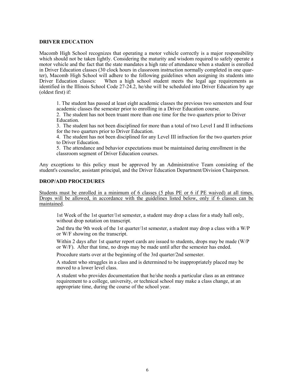#### **DRIVER EDUCATION**

Macomb High School recognizes that operating a motor vehicle correctly is a major responsibility which should not be taken lightly. Considering the maturity and wisdom required to safely operate a motor vehicle and the fact that the state mandates a high rate of attendance when a student is enrolled in Driver Education classes (30 clock hours in classroom instruction normally completed in one quarter), Macomb High School will adhere to the following guidelines when assigning its students into Driver Education classes: When a high school student meets the legal age requirements as identified in the Illinois School Code 27-24.2, he/she will be scheduled into Driver Education by age (oldest first) if:

1. The student has passed at least eight academic classes the previous two semesters and four academic classes the semester prior to enrolling in a Driver Education course.

2. The student has not been truant more than one time for the two quarters prior to Driver Education.

3. The student has not been disciplined for more than a total of two Level I and II infractions for the two quarters prior to Driver Education.

4. The student has not been disciplined for any Level III infraction for the two quarters prior to Driver Education.

5. The attendance and behavior expectations must be maintained during enrollment in the classroom segment of Driver Education courses.

Any exceptions to this policy must be approved by an Administrative Team consisting of the student's counselor, assistant principal, and the Driver Education Department/Division Chairperson.

#### **DROP/ADD PROCEDURES**

Students must be enrolled in a minimum of 6 classes (5 plus PE or 6 if PE waived) at all times. Drops will be allowed, in accordance with the guidelines listed below, only if 6 classes can be maintained.

1st Week of the 1st quarter/1st semester, a student may drop a class for a study hall only, without drop notation on transcript.

2nd thru the 9th week of the 1st quarter/1st semester, a student may drop a class with a W/P or W/F showing on the transcript.

Within 2 days after 1st quarter report cards are issued to students, drops may be made (W/P or W/F). After that time, no drops may be made until after the semester has ended.

Procedure starts over at the beginning of the 3rd quarter/2nd semester.

A student who struggles in a class and is determined to be inappropriately placed may be moved to a lower level class.

A student who provides documentation that he/she needs a particular class as an entrance requirement to a college, university, or technical school may make a class change, at an appropriate time, during the course of the school year.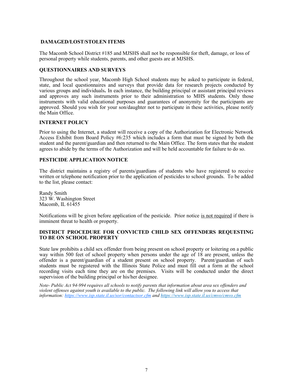#### **DAMAGED/LOST/STOLEN ITEMS**

The Macomb School District #185 and MJSHS shall not be responsible for theft, damage, or loss of personal property while students, parents, and other guests are at MJSHS.

#### **QUESTIONNAIRES AND SURVEYS**

Throughout the school year, Macomb High School students may be asked to participate in federal, state, and local questionnaires and surveys that provide data for research projects conducted by various groups and individuals**.** In each instance, the building principal or assistant principal reviews and approves any such instruments prior to their administration to MHS students. Only those instruments with valid educational purposes and guarantees of anonymity for the participants are approved. Should you wish for your son/daughter not to participate in these activities, please notify the Main Office.

#### **INTERNET POLICY**

Prior to using the Internet, a student will receive a copy of the Authorization for Electronic Network Access Exhibit from Board Policy #6:235 which includes a form that must be signed by both the student and the parent/guardian and then returned to the Main Office. The form states that the student agrees to abide by the terms of the Authorization and will be held accountable for failure to do so.

#### **PESTICIDE APPLICATION NOTICE**

The district maintains a registry of parents/guardians of students who have registered to receive written or telephone notification prior to the application of pesticides to school grounds. To be added to the list, please contact:

Randy Smith 323 W. Washington Street Macomb, IL  $61\overline{4}55$ 

Notifications will be given before application of the pesticide. Prior notice is not required if there is imminent threat to health or property.

#### **DISTRICT PROCEDURE FOR CONVICTED CHILD SEX OFFENDERS REQUESTING TO BE ON SCHOOL PROPERTY**

State law prohibits a child sex offender from being present on school property or loitering on a public way within 500 feet of school property when persons under the age of 18 are present, unless the offender is a parent/guardian of a student present on school property. Parent/guardian of such students must be registered with the Illinois State Police and must fill out a form at the school recording visits each time they are on the premises. Visits will be conducted under the direct supervision of the building principal or his/her designee.

*Note- Public Act 94-994 requires all schools to notify parents that information about area sex offenders and violent offenses against youth is available to the public. The following link will allow you to access that information: [https://www.isp.state.il.us/sor/contactsor.cfm](http://www.isp.state.il.us/sor/contactsor.cfm) and https://www.isp.state.il.us/cmvo/cmvo.cfm*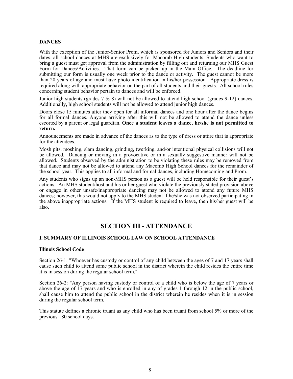#### **DANCES**

With the exception of the Junior-Senior Prom, which is sponsored for Juniors and Seniors and their dates, all school dances at MHS are exclusively for Macomb High students. Students who want to bring a guest must get approval from the administration by filling out and returning our MHS Guest Form for Dances/Activities. That form can be picked up in the Main Office. The deadline for submitting our form is usually one week prior to the dance or activity. The guest cannot be more than 20 years of age and must have photo identification in his/her possession. Appropriate dress is required along with appropriate behavior on the part of all students and their guests. All school rules concerning student behavior pertain to dances and will be enforced.

Junior high students (grades  $7 \& 8$ ) will not be allowed to attend high school (grades 9-12) dances. Additionally, high school students will not be allowed to attend junior high dances.

Doors close 15 minutes after they open for all informal dances and one hour after the dance begins for all formal dances. Anyone arriving after this will not be allowed to attend the dance unless escorted by a parent or legal guardian. **Once a student leaves a dance, he/she is not permitted to return.**

Announcements are made in advance of the dances as to the type of dress or attire that is appropriate for the attendees.

Mosh pits, moshing, slam dancing, grinding, twerking, and/or intentional physical collisions will not be allowed. Dancing or moving in a provocative or in a sexually suggestive manner will not be allowed. Students observed by the administration to be violating these rules may be removed from that dance and may not be allowed to attend any Macomb High School dances for the remainder of the school year. This applies to all informal and formal dances, including Homecoming and Prom.

Any students who signs up an non-MHS person as a guest will be held responsible for their guest's actions. An MHS student/host and his or her guest who violate the previously stated provision above or engage in other unsafe/inappropriate dancing may not be allowed to attend any future MHS dances; however, this would not apply to the MHS student if he/she was not observed participating in the above inappropriate actions. If the MHS student is required to leave, then his/her guest will be also.

# **SECTION III - ATTENDANCE**

#### **I. SUMMARY OF ILLINOIS SCHOOL LAW ON SCHOOL ATTENDANCE**

#### **Illinois School Code**

Section 26-1: "Whoever has custody or control of any child between the ages of 7 and 17 years shall cause such child to attend some public school in the district wherein the child resides the entire time it is in session during the regular school term."

Section 26-2: "Any person having custody or control of a child who is below the age of 7 years or above the age of 17 years and who is enrolled in any of grades 1 through 12 in the public school, shall cause him to attend the public school in the district wherein he resides when it is in session during the regular school term.

This statute defines a chronic truant as any child who has been truant from school 5% or more of the previous 180 school days.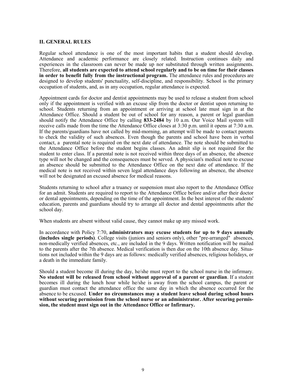#### **II. GENERAL RULES**

Regular school attendance is one of the most important habits that a student should develop. Attendance and academic performance are closely related. Instruction continues daily and experiences in the classroom can never be made up nor substituted through written assignments. Therefore, **all students are expected to attend school regularly and to be on time for their classes in order to benefit fully from the instructional program.** The attendance rules and procedures are designed to develop students' punctuality, self-discipline, and responsibility. School is the primary occupation of students, and, as in any occupation, regular attendance is expected.

Appointment cards for doctor and dentist appointments may be used to release a student from school only if the appointment is verified with an excuse slip from the doctor or dentist upon returning to school. Students returning from an appointment or arriving at school late must sign in at the Attendance Office. Should a student be out of school for any reason, a parent or legal guardian should notify the Attendance Office by calling **833-2484** by 10 a.m. Our Voice Mail system will receive calls made from the time the Attendance Office closes at 3:30 p.m. until it opens at 7:30 a.m. If the parents/guardians have not called by mid-morning, an attempt will be made to contact parents to check the validity of such absences. Even though the parents and school have been in verbal contact, a parental note is required on the next date of attendance. The note should be submitted to the Attendance Office before the student begins classes. An admit slip is not required for the student to enter class. If a parental note is not received within three days of an absence, the absence type will not be changed and the consequences must be served. A physician's medical note to excuse an absence should be submitted to the Attendance Office on the next date of attendance. If the medical note is not received within seven legal attendance days following an absence, the absence will not be designated an excused absence for medical reasons.

Students returning to school after a truancy or suspension must also report to the Attendance Office for an admit. Students are required to report to the Attendance Office before and/or after their doctor or dental appointments, depending on the time of the appointment. In the best interest of the students' education, parents and guardians should try to arrange all doctor and dental appointments after the school day.

When students are absent without valid cause, they cannot make up any missed work.

In accordance with Policy 7:70, **administrators may excuse students for up to 9 days annually (includes single periods)**. College visits (juniors and seniors only), other "pre-arranged" absences, non-medically verified absences, etc., are included in the 9 days. Written notification will be mailed to the parents after the 7th absence. Medical verification is then due on the 10th absence day. Situations not included within the 9 days are as follows: medically verified absences, religious holidays, or a death in the immediate family.

Should a student become ill during the day, he/she must report to the school nurse in the infirmary. **No student will be released from school without approval of a parent or guardian**. If a student becomes ill during the lunch hour while he/she is away from the school campus, the parent or guardian must contact the attendance office the same day in which the absence occurred for the absence to be excused. **Under no circumstances may a student leave school during school hours without securing permission from the school nurse or an administrator. After securing permission, the student must sign out in the Attendance Office or Infirmary.**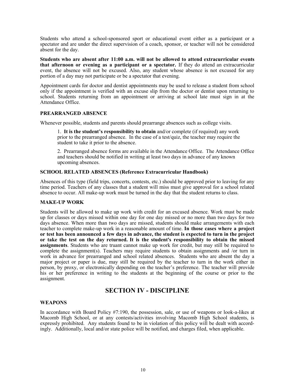Students who attend a school-sponsored sport or educational event either as a participant or a spectator and are under the direct supervision of a coach, sponsor, or teacher will not be considered absent for the day.

**Students who are absent after 11:00 a.m. will not be allowed to attend extracurricular events that afternoon or evening as a participant or a spectator.** If they do attend an extracurricular event, the absence will not be excused. Also, any student whose absence is not excused for any portion of a day may not participate or be a spectator that evening.

Appointment cards for doctor and dentist appointments may be used to release a student from school only if the appointment is verified with an excuse slip from the doctor or dentist upon returning to school. Students returning from an appointment or arriving at school late must sign in at the Attendance Office.

#### **PREARRANGED ABSENCE**

Whenever possible, students and parents should prearrange absences such as college visits.

1. **It is the student's responsibility to obtain** and/or complete (if required) any work prior to the prearranged absence. In the case of a test/quiz, the teacher may require the student to take it prior to the absence.

2. Prearranged absence forms are available in the Attendance Office. The Attendance Office and teachers should be notified in writing at least two days in advance of any known upcoming absences.

#### **SCHOOL RELATED ABSENCES (Reference Extracurricular Handbook)**

Absences of this type (field trips, concerts, contests, etc.) should be approved prior to leaving for any time period. Teachers of any classes that a student will miss must give approval for a school related absence to occur. All make-up work must be turned in the day that the student returns to class.

#### **MAKE-UP WORK**

Students will be allowed to make up work with credit for an excused absence. Work must be made up for classes or days missed within one day for one day missed or no more than two days for two days absence. When more than two days are missed, students should make arrangements with each teacher to complete make-up work in a reasonable amount of time. **In those cases where a project or test has been announced a few days in advance, the student is expected to turn in the project or take the test on the day returned. It is the student's responsibility to obtain the missed assignments**. Students who are truant cannot make up work for credit, but may still be required to complete the assignment(s). Teachers may require students to obtain assignments and /or turn in work in advance for prearranged and school related absences. Students who are absent the day a major project or paper is due, may still be required by the teacher to turn in the work either in person, by proxy, or electronically depending on the teacher's preference. The teacher will provide his or her preference in writing to the students at the beginning of the course or prior to the assignment.

#### **SECTION IV - DISCIPLINE**

#### **WEAPONS**

In accordance with Board Policy #7:190, the possession, sale, or use of weapons or look-a-likes at Macomb High School, or at any contests/activities involving Macomb High School students, is expressly prohibited. Any students found to be in violation of this policy will be dealt with accordingly. Additionally, local and/or state police will be notified, and charges filed, when applicable.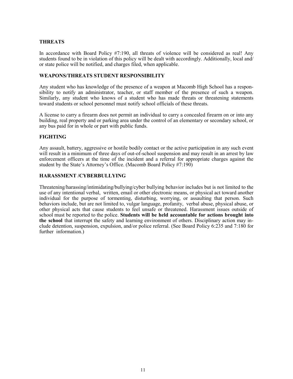#### **THREATS**

In accordance with Board Policy #7:190, all threats of violence will be considered as real! Any students found to be in violation of this policy will be dealt with accordingly. Additionally, local and/ or state police will be notified, and charges filed, when applicable.

#### **WEAPONS/THREATS STUDENT RESPONSIBILITY**

Any student who has knowledge of the presence of a weapon at Macomb High School has a responsibility to notify an administrator, teacher, or staff member of the presence of such a weapon. Similarly, any student who knows of a student who has made threats or threatening statements toward students or school personnel must notify school officials of these threats.

A license to carry a firearm does not permit an individual to carry a concealed firearm on or into any building, real property and or parking area under the control of an elementary or secondary school, or any bus paid for in whole or part with public funds.

#### **FIGHTING**

Any assault, battery, aggressive or hostile bodily contact or the active participation in any such event will result in a minimum of three days of out-of-school suspension and may result in an arrest by law enforcement officers at the time of the incident and a referral for appropriate charges against the student by the State's Attorney's Office. (Macomb Board Policy #7:190)

#### **HARASSMENT /CYBERBULLYING**

Threatening/harassing/intimidating/bullying/cyber bullying behavior includes but is not limited to the use of any intentional verbal, written, email or other electronic means, or physical act toward another individual for the purpose of tormenting, disturbing, worrying, or assaulting that person. Such behaviors include, but are not limited to, vulgar language, profanity, verbal abuse, physical abuse, or other physical acts that cause students to feel unsafe or threatened. Harassment issues outside of school must be reported to the police. **Students will be held accountable for actions brought into the school** that interrupt the safety and learning environment of others. Disciplinary action may include detention, suspension, expulsion, and/or police referral. (See Board Policy 6:235 and 7:180 for further information.)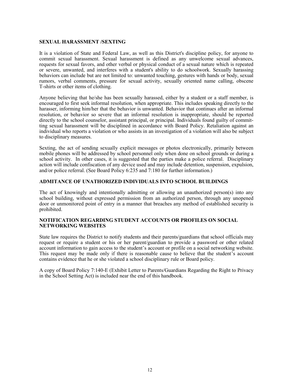#### **SEXUAL HARASSMENT /SEXTING**

It is a violation of State and Federal Law, as well as this District's discipline policy, for anyone to commit sexual harassment. Sexual harassment is defined as any unwelcome sexual advances, requests for sexual favors, and other verbal or physical conduct of a sexual nature which is repeated or severe, unwanted, and interferes with a student's ability to do schoolwork. Sexually harassing behaviors can include but are not limited to: unwanted touching, gestures with hands or body, sexual rumors, verbal comments, pressure for sexual activity, sexually oriented name calling, obscene T-shirts or other items of clothing.

Anyone believing that he/she has been sexually harassed, either by a student or a staff member, is encouraged to first seek informal resolution, when appropriate. This includes speaking directly to the harasser, informing him/her that the behavior is unwanted. Behavior that continues after an informal resolution, or behavior so severe that an informal resolution is inappropriate, should be reported directly to the school counselor, assistant principal, or principal. Individuals found guilty of committing sexual harassment will be disciplined in accordance with Board Policy. Retaliation against an individual who reports a violation or who assists in an investigation of a violation will also be subject to disciplinary measures.

Sexting, the act of sending sexually explicit messages or photos electronically, primarily between mobile phones will be addressed by school personnel only when done on school grounds or during a school activity. In other cases, it is suggested that the parties make a police referral. Disciplinary action will include confiscation of any device used and may include detention, suspension, expulsion, and/or police referral. (See Board Policy 6:235 and 7:180 for further information.)

#### **ADMITANCE OF UNATHORIZED INDIVIDUALS INTO SCHOOL BUILDINGS**

The act of knowingly and intentionally admitting or allowing an unauthorized person(s) into any school building, without expressed permission from an authorized person, through any unopened door or unmonitored point of entry in a manner that breaches any method of established security is prohibited.

#### **NOTIFICATION REGARDING STUDENT ACCOUNTS OR PROFILES ON SOCIAL NETWORKING WEBSITES**

State law requires the District to notify students and their parents/guardians that school officials may request or require a student or his or her parent/guardian to provide a password or other related account information to gain access to the student's account or profile on a social networking website. This request may be made only if there is reasonable cause to believe that the student's account contains evidence that he or she violated a school disciplinary rule or Board policy.

A copy of Board Policy 7:140-E (Exhibit Letter to Parents/Guardians Regarding the Right to Privacy in the School Setting Act) is included near the end of this handbook.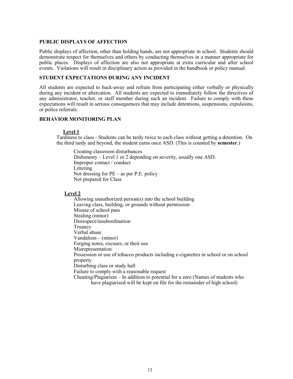#### **PUBLIC DISPLAYS OF AFFECTION**

Public displays of affection, other than holding hands, are not appropriate in school. Students should demonstrate respect for themselves and others by conducting themselves in a manner appropriate for public places. Displays of affection are also not appropriate at extra curricular and after school events. Violations will result in disciplinary action as provided in the handbook or policy manual.

#### **STUDENT EXPECTATIONS DURING ANY INCIDENT**

All students are expected to back-away and refrain from participating either verbally or physically during any incident or altercation. All students are expected to immediately follow the directives of any administrator, teacher, or staff member during such an incident. Failure to comply with these expectations will result in serious consequences that may include detentions, suspensions, expulsions, or police referrals.

#### **BEHAVIOR MONITORING PLAN**

#### **Level 1**

Tardiness to class - Students can be tardy twice to each class without getting a detention. On the third tardy and beyond, the student earns once ASD. (This is counted by **semester**.)

Creating classroom disturbances Dishonesty – Level 1 or 2 depending on severity, usually one ASD. Improper contact / conduct Littering Not dressing for PE – as per P.E. policy Not prepared for Class

#### **Level 2**

Allowing unauthorized person(s) into the school building Leaving class, building, or grounds without permission Misuse of school pass Stealing (minor) Disrespect/insubordination Truancy Verbal abuse Vandalism – (minor) Forging notes, excuses, or their use Misrepresentation Possession or use of tobacco products including e-cigarettes in school or on school property Disturbing class or study hall Failure to comply with a reasonable request Cheating/Plagiarism – In addition to potential for a zero (Names of students who have plagiarized will be kept on file for the remainder of high school)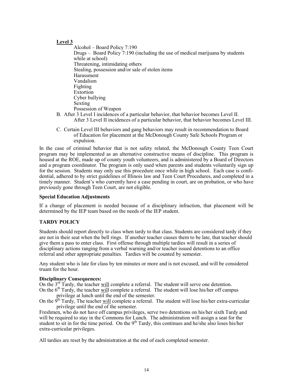#### **Level 3**

Alcohol – Board Policy 7:190 Drugs – Board Policy 7:190 (including the use of medical marijuana by students while at school) Threatening, intimidating others Stealing, possession and/or sale of stolen items Harassment Vandalism Fighting Extortion Cyber bullying Sexting Possession of Weapon

- B. After 3 Level I incidences of a particular behavior, that behavior becomes Level II. After 3 Level II incidences of a particular behavior, that behavior becomes Level III.
- C. Certain Level III behaviors and gang behaviors may result in recommendation to Board of Education for placement at the McDonough County Safe Schools Program or expulsion.

In the case of criminal behavior that is not safety related, the McDonough County Teen Court program may be implemented as an alternative constructive means of discipline. This program is housed at the ROE, made up of county youth volunteers, and is administered by a Board of Directors and a program coordinator. The program is only used when parents and students voluntarily sign up for the session. Students may only use this procedure once while in high school. Each case is confidential, adhered to by strict guidelines of Illinois law and Teen Court Procedures, and completed in a timely manner. Student's who currently have a case pending in court, are on probation, or who have previously gone through Teen Court, are not eligible.

#### **Special Education Adjustments**

If a change of placement is needed because of a disciplinary infraction, that placement will be determined by the IEP team based on the needs of the IEP student.

#### **TARDY POLICY**

Students should report directly to class when tardy to that class. Students are considered tardy if they are not in their seat when the bell rings. If another teacher causes them to be late, that teacher should give them a pass to enter class. First offense through multiple tardies will result in a series of disciplinary actions ranging from a verbal warning and/or teacher issued detentions to an office referral and other appropriate penalties. Tardies will be counted by semester.

Any student who is late for class by ten minutes or more and is not excused, and will be considered truant for the hour.

#### **Disciplinary Consequences:**

On the 3<sup>rd</sup> Tardy, the teacher will complete a referral. The student will serve one detention. On the  $6<sup>th</sup>$  Tardy, the teacher will complete a referral. The student will lose his/her off campus privilege at lunch until the end of the semester.

On the  $9<sup>th</sup>$  Tardy, The teacher <u>will</u> complete a referral. The student will lose his/her extra-curricular privilege until the end of the semester.

Freshmen, who do not have off campus privileges, serve two detentions on his/her sixth Tardy and will be required to stay in the Commons for Lunch. The administration will assign a seat for the student to sit in for the time period. On the 9<sup>th</sup> Tardy, this continues and he/she also loses his/her extra-curricular privileges.

All tardies are reset by the administration at the end of each completed semester.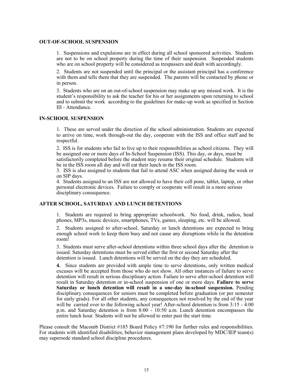#### **OUT-OF-SCHOOL SUSPENSION**

1. Suspensions and expulsions are in effect during all school sponsored activities. Students are not to be on school property during the time of their suspension. Suspended students who are on school property will be considered as trespassers and dealt with accordingly.

2. Students are not suspended until the principal or the assistant principal has a conference with them and tells them that they are suspended. The parents will be contacted by phone or in person.

3. Students who are on an out-of-school suspension may make up any missed work. It is the student's responsibility to ask the teacher for his or her assignments upon returning to school and to submit the work according to the guidelines for make-up work as specified in Section III - Attendance.

#### **IN-SCHOOL SUSPENSION**

1. These are served under the direction of the school administration. Students are expected to arrive on time, work through-out the day, cooperate with the ISS and office staff and be respectful.

2. ISS is for students who fail to live up to their responsibilities as school citizens. They will be assigned one or more days of In-School Suspension (ISS). This day, or days, must be satisfactorily completed before the student may resume their original schedule. Students will be in the ISS room all day and will eat their lunch in the ISS room.

3. ISS is also assigned to students that fail to attend ASC when assigned during the week or on SIP days.

4. Students assigned to an ISS are not allowed to have their cell pone, tablet, laptop, or other personal electronic devices. Failure to comply or cooperate will result in a more serious disciplinary consequence.

#### **AFTER SCHOOL, SATURDAY AND LUNCH DETENTIONS**

1. Students are required to bring appropriate schoolwork. No food, drink, radios, head phones, MP3s, music devices, smartphones, TVs, games, sleeping, etc. will be allowed.

2. Students assigned to after-school, Saturday or lunch detentions are expected to bring enough school work to keep them busy and not cause any disruptions while in the detention room!

3. Students must serve after-school detentions within three school days after the detention is issued. Saturday detentions must be served either the first or second Saturday after the detention is issued. Lunch detentions will be served on the day they are scheduled.

**4.** Since students are provided with ample time to serve detentions, only written medical excuses will be accepted from those who do not show. All other instances of failure to serve detention will result in serious disciplinary action. Failure to serve after-school detention will result in Saturday detention or in-school suspension of one or more days. **Failure to serve Saturday or lunch detention will result in a one-day in-school suspension.** Pending disciplinary consequences for seniors must be completed before graduation (or per semester for early grads). For all other students, any consequences not resolved by the end of the year will be carried over to the following school year! After-school detention is from 3:15 - 4:00 p.m. and Saturday detention is from 8:00 - 10:50 a.m. Lunch detention encompasses the entire lunch hour. Students will not be allowed to enter past the start time.

Please consult the Macomb District #185 Board Policy #7:190 for further rules and responsibilities. For students with identified disabilities, behavior management plans developed by MDC/IEP team(s) may supersede standard school discipline procedures.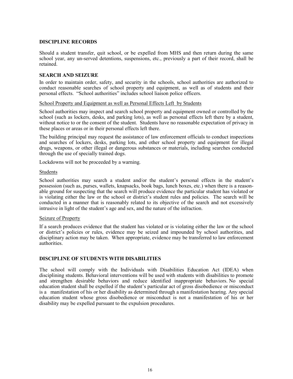#### **DISCIPLINE RECORDS**

Should a student transfer, quit school, or be expelled from MHS and then return during the same school year, any un-served detentions, suspensions, etc., previously a part of their record, shall be retained.

#### **SEARCH AND SEIZURE**

In order to maintain order, safety, and security in the schools, school authorities are authorized to conduct reasonable searches of school property and equipment, as well as of students and their personal effects. "School authorities" includes school liaison police officers.

#### School Property and Equipment as well as Personal Effects Left by Students

School authorities may inspect and search school property and equipment owned or controlled by the school (such as lockers, desks, and parking lots), as well as personal effects left there by a student, without notice to or the consent of the student. Students have no reasonable expectation of privacy in these places or areas or in their personal effects left there.

The building principal may request the assistance of law enforcement officials to conduct inspections and searches of lockers, desks, parking lots, and other school property and equipment for illegal drugs, weapons, or other illegal or dangerous substances or materials, including searches conducted through the use of specially trained dogs.

Lockdowns will not be proceeded by a warning.

#### Students

School authorities may search a student and/or the student's personal effects in the student's possession (such as, purses, wallets, knapsacks, book bags, lunch boxes, etc.) when there is a reasonable ground for suspecting that the search will produce evidence the particular student has violated or is violating either the law or the school or district's student rules and policies. The search will be conducted in a manner that is reasonably related to its objective of the search and not excessively intrusive in light of the student's age and sex, and the nature of the infraction.

#### Seizure of Property

If a search produces evidence that the student has violated or is violating either the law or the school or district's policies or rules, evidence may be seized and impounded by school authorities, and disciplinary action may be taken. When appropriate, evidence may be transferred to law enforcement authorities.

#### **DISCIPLINE OF STUDENTS WITH DISABILITIES**

The school will comply with the Individuals with Disabilities Education Act (IDEA) when disciplining students. Behavioral interventions will be used with students with disabilities to promote and strengthen desirable behaviors and reduce identified inappropriate behaviors. No special education student shall be expelled if the student's particular act of gross disobedience or misconduct is a manifestation of his or her disability as determined through a manifestation hearing. Any special education student whose gross disobedience or misconduct is not a manifestation of his or her disability may be expelled pursuant to the expulsion procedures.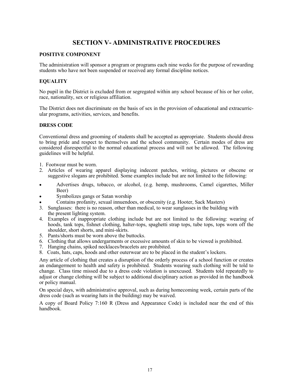# **SECTION V- ADMINISTRATIVE PROCEDURES**

#### **POSITIVE COMPONENT**

The administration will sponsor a program or programs each nine weeks for the purpose of rewarding students who have not been suspended or received any formal discipline notices.

#### **EQUALITY**

No pupil in the District is excluded from or segregated within any school because of his or her color, race, nationality, sex or religious affiliation.

The District does not discriminate on the basis of sex in the provision of educational and extracurricular programs, activities, services, and benefits.

#### **DRESS CODE**

Conventional dress and grooming of students shall be accepted as appropriate. Students should dress to bring pride and respect to themselves and the school community. Certain modes of dress are considered disrespectful to the normal educational process and will not be allowed. The following guidelines will be helpful.

- 1. Footwear must be worn.
- 2. Articles of wearing apparel displaying indecent patches, writing, pictures or obscene or suggestive slogans are prohibited. Some examples include but are not limited to the following:
- Advertises drugs, tobacco, or alcohol, (e.g. hemp, mushrooms, Camel cigarettes, Miller Beer)
- Symbolizes gangs or Satan worship
- Contains profanity, sexual innuendoes, or obscenity (e.g. Hooter, Sack Masters)
- 3. Sunglasses: there is no reason, other than medical, to wear sunglasses in the building with the present lighting system.
- 4. Examples of inappropriate clothing include but are not limited to the following: wearing of hoods, tank tops, fishnet clothing, halter-tops, spaghetti strap tops, tube tops, tops worn off the shoulder, short shorts, and mini-skirts.
- 5. Pants/shorts must be worn above the buttocks.
- 6. Clothing that allows undergarments or excessive amounts of skin to be viewed is prohibited.
- 7. Hanging chains, spiked necklaces/bracelets are prohibited.
- 8. Coats, hats, caps, hoods and other outerwear are to be placed in the student's lockers.

Any article of clothing that creates a disruption of the orderly process of a school function or creates an endangerment to health and safety is prohibited. Students wearing such clothing will be told to change. Class time missed due to a dress code violation is unexcused. Students told repeatedly to adjust or change clothing will be subject to additional disciplinary action as provided in the handbook or policy manual.

On special days, with administrative approval, such as during homecoming week, certain parts of the dress code (such as wearing hats in the building) may be waived.

A copy of Board Policy 7:160 R (Dress and Appearance Code) is included near the end of this handbook.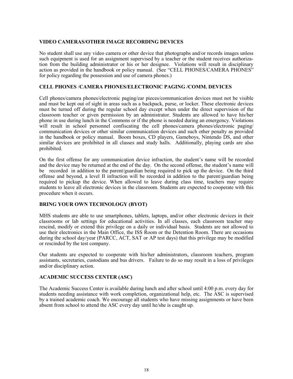#### **VIDEO CAMERAS/OTHER IMAGE RECORDING DEVICES**

No student shall use any video camera or other device that photographs and/or records images unless such equipment is used for an assignment supervised by a teacher or the student receives authorization from the building administrator or his or her designee. Violations will result in disciplinary action as provided in the handbook or policy manual. (See "CELL PHONES/CAMERA PHONES" for policy regarding the possession and use of camera phones.)

#### **CELL PHONES** /**CAMERA PHONES/ELECTRONIC PAGING /COMM. DEVICES**

Cell phones/camera phones/electronic paging/ear pieces/communication devices must not be visible and must be kept out of sight in areas such as a backpack, purse, or locker. These electronic devices must be turned off during the regular school day except when under the direct supervision of the classroom teacher or given permission by an administrator. Students are allowed to have his/her phone in use during lunch in the Commons or if the phone is needed during an emergency. Violations will result in school personnel confiscating the cell phones/camera phones/electronic paging/ communication devices or other similar communication devices and such other penalty as provided in the handbook or policy manual. Boom boxes, CD players, Gameboys, Nintendo DS, and other similar devices are prohibited in all classes and study halls. Additionally, playing cards are also prohibited.

On the first offense for any communication device infraction, the student's name will be recorded and the device may be returned at the end of the day. On the second offense, the student's name will be recorded in addition to the parent/guardian being required to pick up the device. On the third offense and beyond, a level II infraction will be recorded in addition to the parent/guardian being required to pickup the device. When allowed to leave during class time, teachers may require students to leave all electronic devices in the classroom. Students are expected to cooperate with this procedure when it occurs.

#### **BRING YOUR OWN TECHNOLOGY (BYOT)**

MHS students are able to use smartphones, tablets, laptops, and/or other electronic devices in their classrooms or lab settings for educational activities. In all classes, each classroom teacher may rescind, modify or extend this privilege on a daily or individual basis. Students are not allowed to use their electronics in the Main Office, the ISS Room or the Detention Room. There are occasions during the school day/year (PARCC, ACT, SAT or AP test days) that this privilege may be modified or rescinded by the test company.

Our students are expected to cooperate with his/her administrators, classroom teachers, program assistants, secretaries, custodians and bus drivers. Failure to do so may result in a loss of privileges and/or disciplinary action.

#### **ACADEMIC SUCCESS CENTER (ASC)**

The Academic Success Center is available during lunch and after school until 4:00 p.m. every day for students needing assistance with work completion, organizational help, etc. The ASC is supervised by a trained academic coach. We encourage all students who have missing assignments or have been absent from school to attend the ASC every day until he/she is caught up.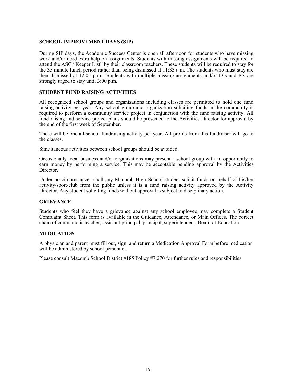#### **SCHOOL IMPROVEMENT DAYS (SIP)**

During SIP days, the Academic Success Center is open all afternoon for students who have missing work and/or need extra help on assignments. Students with missing assignments will be required to attend the ASC "Keeper List" by their classroom teachers. These students will be required to stay for the 35 minute lunch period rather than being dismissed at 11:33 a.m. The students who must stay are then dismissed at 12:05 p.m. Students with multiple missing assignments and/or D's and F's are strongly urged to stay until 3:00 p.m.

#### **STUDENT FUND RAISING ACTIVITIES**

All recognized school groups and organizations including classes are permitted to hold one fund raising activity per year. Any school group and organization soliciting funds in the community is required to perform a community service project in conjunction with the fund raising activity. All fund raising and service project plans should be presented to the Activities Director for approval by the end of the first week of September.

There will be one all-school fundraising activity per year. All profits from this fundraiser will go to the classes.

Simultaneous activities between school groups should be avoided.

Occasionally local business and/or organizations may present a school group with an opportunity to earn money by performing a service. This may be acceptable pending approval by the Activities Director.

Under no circumstances shall any Macomb High School student solicit funds on behalf of his/her activity/sport/club from the public unless it is a fund raising activity approved by the Activity Director. Any student soliciting funds without approval is subject to disciplinary action.

#### **GRIEVANCE**

Students who feel they have a grievance against any school employee may complete a Student Complaint Sheet. This form is available in the Guidance, Attendance, or Main Offices. The correct chain of command is teacher, assistant principal, principal, superintendent, Board of Education.

#### **MEDICATION**

A physician and parent must fill out, sign, and return a Medication Approval Form before medication will be administered by school personnel.

Please consult Macomb School District #185 Policy #7:270 for further rules and responsibilities.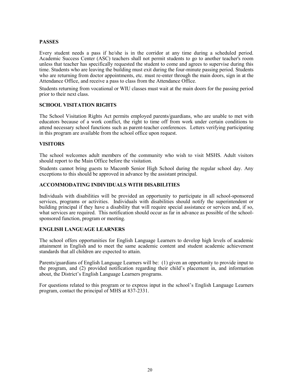#### **PASSES**

Every student needs a pass if he/she is in the corridor at any time during a scheduled period. Academic Success Center (ASC) teachers shall not permit students to go to another teacher's room unless that teacher has specifically requested the student to come and agrees to supervise during this time. Students who are leaving the building must exit during the four-minute passing period. Students who are returning from doctor appointments, etc. must re-enter through the main doors, sign in at the Attendance Office, and receive a pass to class from the Attendance Office.

Students returning from vocational or WIU classes must wait at the main doors for the passing period prior to their next class.

#### **SCHOOL VISITATION RIGHTS**

The School Visitation Rights Act permits employed parents/guardians, who are unable to met with educators because of a work conflict, the right to time off from work under certain conditions to attend necessary school functions such as parent-teacher conferences. Letters verifying participating in this program are available from the school office upon request.

#### **VISITORS**

The school welcomes adult members of the community who wish to visit MSHS. Adult visitors should report to the Main Office before the visitation.

Students cannot bring guests to Macomb Senior High School during the regular school day. Any exceptions to this should be approved in advance by the assistant principal.

#### **ACCOMMODATING INDIVIDUALS WITH DISABILITIES**

Individuals with disabilities will be provided an opportunity to participate in all school-sponsored services, programs or activities. Individuals with disabilities should notify the superintendent or building principal if they have a disability that will require special assistance or services and, if so, what services are required. This notification should occur as far in advance as possible of the schoolsponsored function, program or meeting.

#### **ENGLISH LANGUAGE LEARNERS**

The school offers opportunities for English Language Learners to develop high levels of academic attainment in English and to meet the same academic content and student academic achievement standards that all children are expected to attain.

Parents/guardians of English Language Learners will be: (1) given an opportunity to provide input to the program, and (2) provided notification regarding their child's placement in, and information about, the District's English Language Learners programs.

For questions related to this program or to express input in the school's English Language Learners program, contact the principal of MHS at 837-2331.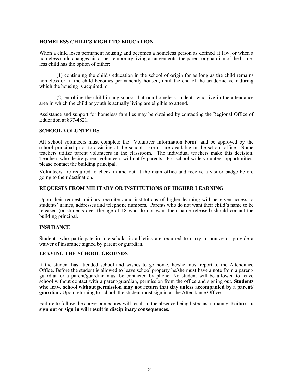#### **HOMELESS CHILD'S RIGHT TO EDUCATION**

When a child loses permanent housing and becomes a homeless person as defined at law, or when a homeless child changes his or her temporary living arrangements, the parent or guardian of the homeless child has the option of either:

(1) continuing the child's education in the school of origin for as long as the child remains homeless or, if the child becomes permanently housed, until the end of the academic year during which the housing is acquired; or

(2) enrolling the child in any school that non-homeless students who live in the attendance area in which the child or youth is actually living are eligible to attend.

Assistance and support for homeless families may be obtained by contacting the Regional Office of Education at 837-4821.

#### **SCHOOL VOLUNTEERS**

All school volunteers must complete the "Volunteer Information Form" and be approved by the school principal prior to assisting at the school. Forms are available in the school office. Some teachers utilize parent volunteers in the classroom. The individual teachers make this decision. Teachers who desire parent volunteers will notify parents. For school-wide volunteer opportunities, please contact the building principal.

Volunteers are required to check in and out at the main office and receive a visitor badge before going to their destination.

#### **REQUESTS FROM MILITARY OR INSTITUTIONS OF HIGHER LEARNING**

Upon their request, military recruiters and institutions of higher learning will be given access to students' names, addresses and telephone numbers. Parents who do not want their child's name to be released (or students over the age of 18 who do not want their name released) should contact the building principal.

#### **INSURANCE**

Students who participate in interscholastic athletics are required to carry insurance or provide a waiver of insurance signed by parent or guardian.

#### **LEAVING THE SCHOOL GROUNDS**

If the student has attended school and wishes to go home, he/she must report to the Attendance Office. Before the student is allowed to leave school property he/she must have a note from a parent/ guardian or a parent/guardian must be contacted by phone. No student will be allowed to leave school without contact with a parent/guardian, permission from the office and signing out. **Students who leave school without permission may not return that day unless accompanied by a parent/ guardian.** Upon returning to school, the student must sign in at the Attendance Office.

Failure to follow the above procedures will result in the absence being listed as a truancy. **Failure to sign out or sign in will result in disciplinary consequences.**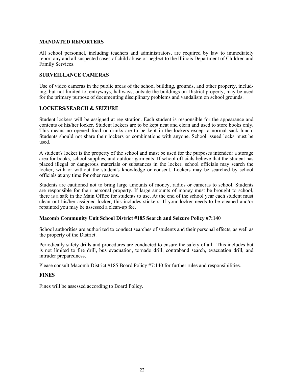#### **MANDATED REPORTERS**

All school personnel, including teachers and administrators, are required by law to immediately report any and all suspected cases of child abuse or neglect to the Illinois Department of Children and Family Services.

#### **SURVEILLANCE CAMERAS**

Use of video cameras in the public areas of the school building, grounds, and other property, including, but not limited to, entryways, hallways, outside the buildings on District property, may be used for the primary purpose of documenting disciplinary problems and vandalism on school grounds.

#### **LOCKERS/SEARCH & SEIZURE**

Student lockers will be assigned at registration. Each student is responsible for the appearance and contents of his/her locker. Student lockers are to be kept neat and clean and used to store books only. This means no opened food or drinks are to be kept in the lockers except a normal sack lunch. Students should not share their lockers or combinations with anyone. School issued locks must be used.

A student's locker is the property of the school and must be used for the purposes intended: a storage area for books, school supplies, and outdoor garments. If school officials believe that the student has placed illegal or dangerous materials or substances in the locker, school officials may search the locker, with or without the student's knowledge or consent. Lockers may be searched by school officials at any time for other reasons.

Students are cautioned not to bring large amounts of money, radios or cameras to school. Students are responsible for their personal property. If large amounts of money must be brought to school, there is a safe in the Main Office for students to use. At the end of the school year each student must clean out his/her assigned locker, this includes stickers. If your locker needs to be cleaned and/or repainted you may be assessed a clean-up fee.

#### **Macomb Community Unit School District #185 Search and Seizure Policy #7:140**

School authorities are authorized to conduct searches of students and their personal effects, as well as the property of the District.

Periodically safety drills and procedures are conducted to ensure the safety of all. This includes but is not limited to fire drill, bus evacuation, tornado drill, contraband search, evacuation drill, and intruder preparedness.

Please consult Macomb District #185 Board Policy #7:140 for further rules and responsibilities.

#### **FINES**

Fines will be assessed according to Board Policy.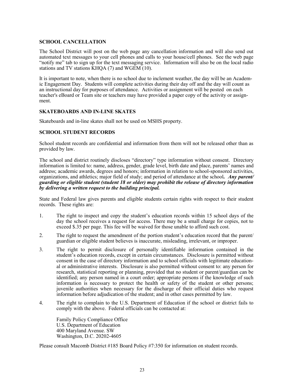#### **SCHOOL CANCELLATION**

The School District will post on the web page any cancellation information and will also send out automated text messages to your cell phones and calls to your house/cell phones. See the web page "notify me" tab to sign up for the text messaging service. Information will also be on the local radio stations and TV stations  $\overline{K HQA}$  (7) and WGEM (10).

It is important to note, when there is no school due to inclement weather, the day will be an Academic Engagement Day. Students will complete activities during their day off and the day will count as an instructional day for purposes of attendance. Activities or assignment will be posted on each teacher's eBoard or Team site or teachers may have provided a paper copy of the activity or assignment.

#### **SKATEBOARDS AND IN-LINE SKATES**

Skateboards and in-line skates shall not be used on MSHS property.

#### **SCHOOL STUDENT RECORDS**

School student records are confidential and information from them will not be released other than as provided by law.

The school and district routinely discloses "directory" type information without consent. Directory information is limited to: name, address, gender, grade level, birth date and place, parents' names and address; academic awards, degrees and honors; information in relation to school-sponsored activities, organizations, and athletics; major field of study; and period of attendance at the school*. Any parent/ guarding or eligible student (student 18 or older) may prohibit the release of directory information by delivering a written request to the building principal.*

State and Federal law gives parents and eligible students certain rights with respect to their student records. These rights are:

- 1. The right to inspect and copy the student's education records within 15 school days of the day the school receives a request for access. There may be a small charge for copies, not to exceed \$.35 per page. This fee will be waived for those unable to afford such cost.
- 2. The right to request the amendment of the portion student's education record that the parent/ guardian or eligible student believes is inaccurate, misleading, irrelevant, or improper.
- 3. The right to permit disclosure of personally identifiable information contained in the student's education records, except in certain circumstances. Disclosure is permitted without consent in the case of directory information and to school officials with legitimate educational or administrative interests. Disclosure is also permitted without consent to: any person for research, statistical reporting or planning, provided that no student or parent/guardian can be identified; any person named in a court order; appropriate persons if the knowledge of such information is necessary to protect the health or safety of the student or other persons; juvenile authorities when necessary for the discharge of their official duties who request information before adjudication of the student; and in other cases permitted by law.
- 4. The right to complain to the U.S. Department of Education if the school or district fails to comply with the above. Federal officials can be contacted at:

Family Policy Compliance Office U.S. Department of Education 400 Maryland Avenue. SW Washington, D.C. 20202-4605

Please consult Macomb District #185 Board Policy #7:350 for information on student records.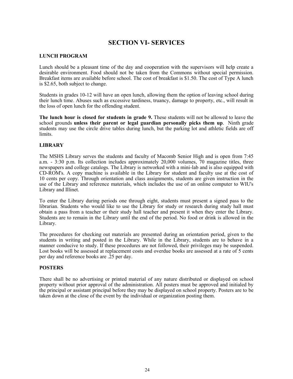# **SECTION VI- SERVICES**

#### **LUNCH PROGRAM**

Lunch should be a pleasant time of the day and cooperation with the supervisors will help create a desirable environment. Food should not be taken from the Commons without special permission. Breakfast items are available before school. The cost of breakfast is \$1.50. The cost of Type A lunch is \$2.65, both subject to change.

Students in grades 10-12 will have an open lunch, allowing them the option of leaving school during their lunch time. Abuses such as excessive tardiness, truancy, damage to property, etc., will result in the loss of open lunch for the offending student.

**The lunch hour is closed for students in grade 9.** These students will not be allowed to leave the school grounds **unless their parent or legal guardian personally picks them up**. Ninth grade students may use the circle drive tables during lunch, but the parking lot and athletic fields are off limits.

#### **LIBRARY**

The MSHS Library serves the students and faculty of Macomb Senior High and is open from 7:45 a.m. - 3:30 p.m. Its collection includes approximately 20,000 volumes, 70 magazine titles, three newspapers and college catalogs. The Library is networked with a mini-lab and is also equipped with CD-ROM's. A copy machine is available in the Library for student and faculty use at the cost of 10 cents per copy. Through orientation and class assignments, students are given instruction in the use of the Library and reference materials, which includes the use of an online computer to WIU's Library and Illinet.

To enter the Library during periods one through eight, students must present a signed pass to the librarian. Students who would like to use the Library for study or research during study hall must obtain a pass from a teacher or their study hall teacher and present it when they enter the Library. Students are to remain in the Library until the end of the period. No food or drink is allowed in the Library.

The procedures for checking out materials are presented during an orientation period, given to the students in writing and posted in the Library. While in the Library, students are to behave in a manner conducive to study. If these procedures are not followed, their privileges may be suspended. Lost books will be assessed at replacement costs and overdue books are assessed at a rate of 5 cents per day and reference books are .25 per day.

#### **POSTERS**

There shall be no advertising or printed material of any nature distributed or displayed on school property without prior approval of the administration. All posters must be approved and initialed by the principal or assistant principal before they may be displayed on school property. Posters are to be taken down at the close of the event by the individual or organization posting them.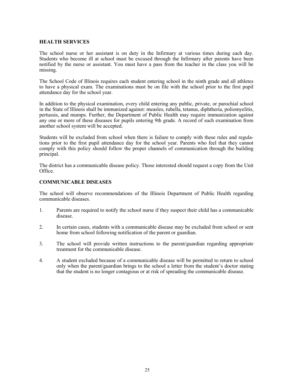#### **HEALTH SERVICES**

The school nurse or her assistant is on duty in the Infirmary at various times during each day. Students who become ill at school must be excused through the Infirmary after parents have been notified by the nurse or assistant. You must have a pass from the teacher in the class you will be missing.

The School Code of Illinois requires each student entering school in the ninth grade and all athletes to have a physical exam. The examinations must be on file with the school prior to the first pupil attendance day for the school year.

In addition to the physical examination, every child entering any public, private, or parochial school in the State of Illinois shall be immunized against: measles, rubella, tetanus, diphtheria, poliomyelitis, pertussis, and mumps. Further, the Department of Public Health may require immunization against any one or more of these diseases for pupils entering 9th grade. A record of such examination from another school system will be accepted.

Students will be excluded from school when there is failure to comply with these rules and regulations prior to the first pupil attendance day for the school year. Parents who feel that they cannot comply with this policy should follow the proper channels of communication through the building principal.

The district has a communicable disease policy. Those interested should request a copy from the Unit Office.

#### **COMMUNICABLE DISEASES**

The school will observe recommendations of the Illinois Department of Public Health regarding communicable diseases.

- 1. Parents are required to notify the school nurse if they suspect their child has a communicable disease.
- 2. In certain cases, students with a communicable disease may be excluded from school or sent home from school following notification of the parent or guardian.
- 3. The school will provide written instructions to the parent/guardian regarding appropriate treatment for the communicable disease.
- 4. A student excluded because of a communicable disease will be permitted to return to school only when the parent/guardian brings to the school a letter from the student's doctor stating that the student is no longer contagious or at risk of spreading the communicable disease.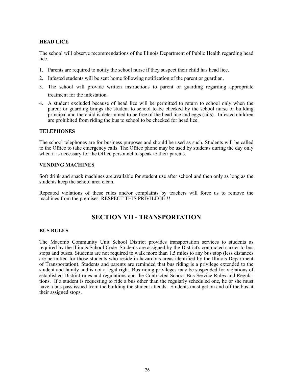#### **HEAD LICE**

The school will observe recommendations of the Illinois Department of Public Health regarding head lice.

- 1. Parents are required to notify the school nurse if they suspect their child has head lice.
- 2. Infested students will be sent home following notification of the parent or guardian.
- 3. The school will provide written instructions to parent or guarding regarding appropriate treatment for the infestation.
- 4. A student excluded because of head lice will be permitted to return to school only when the parent or guarding brings the student to school to be checked by the school nurse or building principal and the child is determined to be free of the head lice and eggs (nits). Infested children are prohibited from riding the bus to school to be checked for head lice.

#### **TELEPHONES**

The school telephones are for business purposes and should be used as such. Students will be called to the Office to take emergency calls. The Office phone may be used by students during the day only when it is necessary for the Office personnel to speak to their parents.

#### **VENDING MACHINES**

Soft drink and snack machines are available for student use after school and then only as long as the students keep the school area clean.

Repeated violations of these rules and/or complaints by teachers will force us to remove the machines from the premises. RESPECT THIS PRIVILEGE!!!

# **SECTION VII - TRANSPORTATION**

#### **BUS RULES**

The Macomb Community Unit School District provides transportation services to students as required by the Illinois School Code. Students are assigned by the District's contracted carrier to bus stops and buses. Students are not required to walk more than 1.5 miles to any bus stop (less distances are permitted for those students who reside in hazardous areas identified by the Illinois Department of Transportation). Students and parents are reminded that bus riding is a privilege extended to the student and family and is not a legal right. Bus riding privileges may be suspended for violations of established District rules and regulations and the Contracted School Bus Service Rules and Regulations. If a student is requesting to ride a bus other than the regularly scheduled one, he or she must have a bus pass issued from the building the student attends. Students must get on and off the bus at their assigned stops.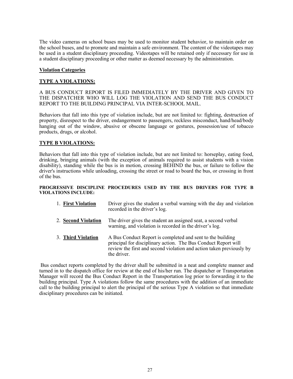The video cameras on school buses may be used to monitor student behavior, to maintain order on the school buses, and to promote and maintain a safe environment. The content of the videotapes may be used in a student disciplinary proceeding. Videotapes will be retained only if necessary for use in a student disciplinary proceeding or other matter as deemed necessary by the administration.

#### **Violation Categories**

#### **TYPE A VIOLATIONS:**

A BUS CONDUCT REPORT IS FILED IMMEDIATELY BY THE DRIVER AND GIVEN TO THE DISPATCHER WHO WILL LOG THE VIOLATION AND SEND THE BUS CONDUCT REPORT TO THE BUILDING PRINCIPAL VIA INTER-SCHOOL MAIL.

Behaviors that fall into this type of violation include, but are not limited to: fighting, destruction of property, disrespect to the driver, endangerment to passengers, reckless misconduct, hand/head/body hanging out of the window, abusive or obscene language or gestures, possession/use of tobacco products, drugs, or alcohol.

#### **TYPE B VIOLATIONS:**

Behaviors that fall into this type of violation include, but are not limited to: horseplay, eating food, drinking, bringing animals (with the exception of animals required to assist students with a vision disability), standing while the bus is in motion, crossing BEHIND the bus, or failure to follow the driver's instructions while unloading, crossing the street or road to board the bus, or crossing in front of the bus.

#### **PROGRESSIVE DISCIPLINE PROCEDURES USED BY THE BUS DRIVERS FOR TYPE B VIOLATIONS INCLUDE:**

- 1. **First Violation** Driver gives the student a verbal warning with the day and violation recorded in the driver's log.
- 2. **Second Violation** The driver gives the student an assigned seat, a second verbal warning, and violation is recorded in the driver's log.
- 3. **Third Violation** A Bus Conduct Report is completed and sent to the building principal for disciplinary action. The Bus Conduct Report will review the first and second violation and action taken previously by the driver.

Bus conduct reports completed by the driver shall be submitted in a neat and complete manner and turned in to the dispatch office for review at the end of his/her run. The dispatcher or Transportation Manager will record the Bus Conduct Report in the Transportation log prior to forwarding it to the building principal. Type A violations follow the same procedures with the addition of an immediate call to the building principal to alert the principal of the serious Type A violation so that immediate disciplinary procedures can be initiated.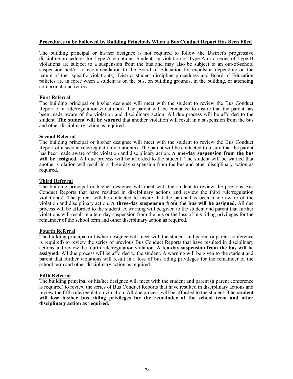#### **Procedures to be Followed by Building Principals When a Bus Conduct Report Has Been Filed**

The building principal or his/her designee is not required to follow the District's progressive discipline procedures for Type A violations. Students in violation of Type A or a series of Type B violations are subject to a suspension from the bus and may also be subject to an out-of-school suspension and/or a recommendation to the Board of Education for expulsion depending on the nature of the specific violation(s). District student discipline procedures and Board of Education policies are in force when a student is on the bus, on building grounds, in the building, or attending co-curricular activities.

#### **First Referral**

The building principal or his/her designee will meet with the student to review the Bus Conduct Report of a rule/regulation violation(s). The parent will be contacted to insure that the parent has been made aware of the violation and disciplinary action. All due process will be afforded to the student. **The student will be warned** that another violation will result in a suspension from the bus and other disciplinary action as required.

#### **Second Referral**

The building principal or his/her designee will meet with the student to review the Bus Conduct Report of a second rule/regulation violation(s). The parent will be contacted to insure that the parent has been made aware of the violation and disciplinary action. **A one-day suspension from the bus will be assigned.** All due process will be afforded to the student. The student will be warned that another violation will result in a three-day suspension from the bus and other disciplinary action as required.

#### **Third Referral**

The building principal or his/her designee will meet with the student to review the previous Bus Conduct Reports that have resulted in disciplinary actions and review the third rule/regulation violation(s). The parent will be contacted to insure that the parent has been made aware of the violation and disciplinary action. **A three-day suspension from the bus will be assigned.** All due process will be afforded to the student. A warning will be given to the student and parent that further violations will result in a ten- day suspension from the bus or the loss of bus riding privileges for the remainder of the school term and other disciplinary action as required.

#### **Fourth Referral**

The building principal or his/her designee will meet with the student and parent (a parent conference is required) to review the series of previous Bus Conduct Reports that have resulted in disciplinary actions and review the fourth rule/regulation violation. **A ten-day suspension from the bus will be assigned.** All due process will be afforded to the student. A warning will be given to the student and parent that further violations will result in a loss of bus riding privileges for the remainder of the school term and other disciplinary action as required.

#### **Fifth Referral**

The building principal or his/her designee will meet with the student and parent (a parent conference is required) to review the series of Bus Conduct Reports that have resulted in disciplinary actions and review the fifth rule/regulation violation. All due process will be afforded to the student. **The student will lose his/her bus riding privileges for the remainder of the school term and other disciplinary action as required.**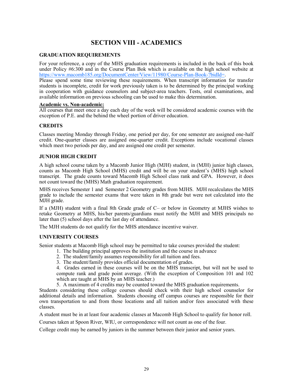# **SECTION VIII - ACADEMICS**

#### **GRADUATION REQUIREMENTS**

For your reference, a copy of the MHS graduation requirements is included in the back of this book under Policy #6:300 and in the Course Plan Bok which is available on the high school website at [https://www.macomb185.org/DocumentCenter/View/11980/Course](https://www.macomb185.org/DocumentCenter/View/11980/Course-Plan-Book-?bidId=)-Plan-Book-?bidId=.

Please spend some time reviewing these requirements. When transcript information for transfer students is incomplete, credit for work previously taken is to be determined by the principal working in cooperation with guidance counselors and subject-area teachers. Tests, oral examinations, and available information on previous schooling can be used to make this determination.

#### **Academic vs. Non-academic:**

All courses that meet once a day each day of the week will be considered academic courses with the exception of P.E. and the behind the wheel portion of driver education.

#### **CREDITS**

Classes meeting Monday through Friday, one period per day, for one semester are assigned one-half credit. One-quarter classes are assigned one-quarter credit. Exceptions include vocational classes which meet two periods per day, and are assigned one credit per semester.

#### **JUNIOR HIGH CREDIT**

A high school course taken by a Macomb Junior High (MJH) student, in (MJH) junior high classes, counts as Macomb High School (MHS) credit and will be on your student's (MHS) high school transcript. The grade counts toward Macomb High School class rank and GPA. However, it does not count toward the (MHS) Math graduation requirement.

MHS receives Semester 1 and Semester 2 Geometry grades from MJHS. MJH recalculates the MHS grade to include the semester exams that were taken in 8th grade but were not calculated into the MJH grade.

If a (MJH) student with a final 8th Grade grade of C– or below in Geometry at MJHS wishes to retake Geometry at MHS, his/her parents/guardians must notify the MJH and MHS principals no later than (5) school days after the last day of attendance.

The MJH students do not qualify for the MHS attendance incentive waiver.

#### **UNIVERSITY COURSES**

Senior students at Macomb High school may be permitted to take courses provided the student:

- 1. The building principal approves the institution and the course in advance
- 2. The student/family assumes responsibility for all tuition and fees.
- 3. The student/family provides official documentation of grades.

4. Grades earned in these courses will be on the MHS transcript, but will not be used to compute rank and grade point average. (With the exception of Composition 101 and 102 which are taught at MHS by an MHS teacher.)

5. A maximum of 4 credits may be counted toward the MHS graduation requirements.

Students considering these college courses should check with their high school counselor for additional details and information. Students choosing off campus courses are responsible for their own transportation to and from those locations and all tuition and/or fees associated with these classes.

A student must be in at least four academic classes at Macomb High School to qualify for honor roll.

Courses taken at Spoon River, WIU, or correspondence will not count as one of the four.

College credit may be earned by juniors in the summer between their junior and senior years.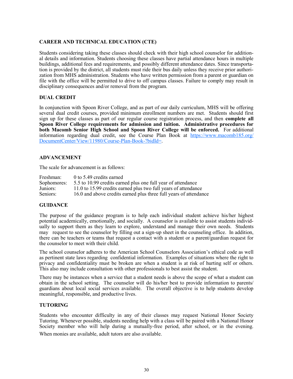#### **CAREER AND TECHNICAL EDUCATION (CTE)**

Students considering taking these classes should check with their high school counselor for additional details and information. Students choosing these classes have partial attendance hours in multiple buildings, additional fees and requirements, and possibly different attendance dates. Since transportation is provided by the district, all students must ride their bus daily unless they receive prior authorization from MHS administration. Students who have written permission from a parent or guardian on file with the office will be permitted to drive to off campus classes. Failure to comply may result in disciplinary consequences and/or removal from the program.

#### **DUAL CREDIT**

In conjunction with Spoon River College, and as part of our daily curriculum, MHS will be offering several dual credit courses, provided minimum enrollment numbers are met. Students should first sign up for these classes as part of our regular course registration process, and then **complete all Spoon River College requirements for admission and tuition. Administrative procedures for both Macomb Senior High School and Spoon River College will be enforced.** For additional information regarding dual credit, see the Course Plan Book at [https://www.macomb185.org/](https://www.macomb185.org/DocumentCenter/View/11980/Course-Plan-Book-?bidId=) [DocumentCenter/View/11980/Course](https://www.macomb185.org/DocumentCenter/View/11980/Course-Plan-Book-?bidId=)-Plan-Book-?bidId=.

#### **ADVANCEMENT**

The scale for advancement is as follows:

Freshman: 0 to 5.49 credits earned Sophomores: 5.5 to 10.99 credits earned plus one full year of attendance Juniors: 11.0 to 15.99 credits earned plus two full years of attendance Seniors: 16.0 and above credits earned plus three full years of attendance

#### **GUIDANCE**

The purpose of the guidance program is to help each individual student achieve his/her highest potential academically, emotionally, and socially. A counselor is available to assist students individually to support them as they learn to explore, understand and manage their own needs. Students may request to see the counselor by filling out a sign-up sheet in the counseling office. In addition, there can be teachers or teams that request a contact with a student or a parent/guardian request for the counselor to meet with their child.

The school counselor adheres to the American School Counselors Association's ethical code as well as pertinent state laws regarding confidential information. Examples of situations where the right to privacy and confidentiality must be broken are when a student is at risk of hurting self or others. This also may include consultation with other professionals to best assist the student.

There may be instances when a service that a student needs is above the scope of what a student can obtain in the school setting. The counselor will do his/her best to provide information to parents/ guardians about local social services available. The overall objective is to help students develop meaningful, responsible, and productive lives.

#### **TUTORING**

Students who encounter difficulty in any of their classes may request National Honor Society Tutoring. Whenever possible, students needing help with a class will be paired with a National Honor Society member who will help during a mutually-free period, after school, or in the evening. When monies are available, adult tutors are also available.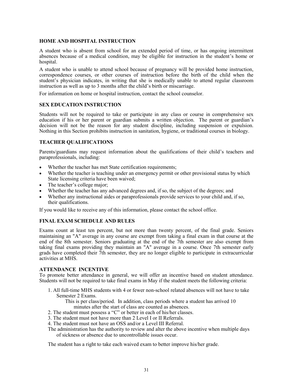#### **HOME AND HOSPITAL INSTRUCTION**

A student who is absent from school for an extended period of time, or has ongoing intermittent absences because of a medical condition, may be eligible for instruction in the student's home or hospital.

A student who is unable to attend school because of pregnancy will be provided home instruction, correspondence courses, or other courses of instruction before the birth of the child when the student's physician indicates, in writing that she is medically unable to attend regular classroom instruction as well as up to 3 months after the child's birth or miscarriage.

For information on home or hospital instruction, contact the school counselor.

#### **SEX EDUCATION INSTRUCTION**

Students will not be required to take or participate in any class or course in comprehensive sex education if his or her parent or guardian submits a written objection. The parent or guardian's decision will not be the reason for any student discipline, including suspension or expulsion. Nothing in this Section prohibits instruction in sanitation, hygiene, or traditional courses in biology.

#### **TEACHER QUALIFICATIONS**

Parents/guardians may request information about the qualifications of their child's teachers and paraprofessionals, including:

- Whether the teacher has met State certification requirements;
- Whether the teacher is teaching under an emergency permit or other provisional status by which State licensing criteria have been waived;
- The teacher's college major;
- Whether the teacher has any advanced degrees and, if so, the subject of the degrees; and
- Whether any instructional aides or paraprofessionals provide services to your child and, if so, their qualifications.

If you would like to receive any of this information, please contact the school office.

#### **FINAL EXAM SCHEDULE AND RULES**

Exams count at least ten percent, but not more than twenty percent, of the final grade. Seniors maintaining an "A" average in any course are exempt from taking a final exam in that course at the end of the 8th semester. Seniors graduating at the end of the 7th semester are also exempt from taking final exams providing they maintain an "A" average in a course. Once 7th semester early grads have completed their 7th semester, they are no longer eligible to participate in extracurricular activities at MHS.

#### **ATTENDANCE INCENTIVE**

To promote better attendance in general, we will offer an incentive based on student attendance. Students will not be required to take final exams in May if the student meets the following criteria:

1. All full-time MHS students with 4 or fewer non-school related absences will not have to take Semester 2 Exams.

This is per class/period. In addition, class periods where a student has arrived 10 minutes after the start of class are counted as absences.

- 2. The student must possess a "C" or better in each of his/her classes.
- 3. The student must not have more than 2 Level I or II Referrals.
- 4. The student must not have an OSS and/or a Level III Referral.
- The administration has the authority to review and alter the above incentive when multiple days of sickness or absence due to uncontrollable issues occur.

The student has a right to take each waived exam to better improve his/her grade.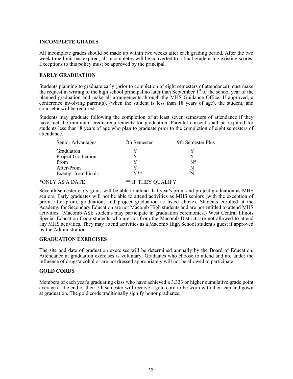#### **INCOMPLETE GRADES**

All incomplete grades should be made up within two weeks after each grading period. After the two week time limit has expired, all incompletes will be converted to a final grade using existing scores. Exceptions to this policy must be approved by the principal.

#### **EARLY GRADUATION**

Students planning to graduate early (prior to completion of eight semesters of attendance) must make the request in writing to the high school principal no later than September  $1<sup>st</sup>$  of the school year of the planned graduation and make all arrangements through the MHS Guidance Office. If approved, a conference involving parent(s), (when the student is less than 18 years of age), the student, and counselor will be required.

Students may graduate following the completion of at least seven semesters of attendance if they have met the minimum credit requirements for graduation. Parental consent shall be required for students less than l8 years of age who plan to graduate prior to the completion of eight semesters of attendance.

| Senior Advantages         | 7th Semester      | 9th Semester Plus |
|---------------------------|-------------------|-------------------|
| Graduation                |                   |                   |
| Project Graduation        |                   |                   |
| Prom                      |                   | $N^*$             |
| After-Prom                |                   | N                 |
| <b>Exempt from Finals</b> | $_{\mathrm{V}**}$ |                   |
|                           |                   |                   |

#### \*ONLY AS A DATE \*\* IF THEY QUALIFY

Seventh-semester early grads will be able to attend that year's prom and project graduation as MHS seniors. Early graduates will not be able to attend activities as MHS seniors (with the exception of prom, after-prom, graduation, and project graduation as listed above). Students enrolled at the Academy for Secondary Education are not Macomb High students and are not entitled to attend MHS activities. (Macomb ASE students may participate in graduation ceremonies.) West Central Illinois Special Education Coop students who are not from the Macomb District, are not allowed to attend any MHS activities. They may attend activities as a Macomb High School student's guest if approved by the Administration.

#### **GRADUATION EXERCISES**

The site and date of graduation exercises will be determined annually by the Board of Education. Attendance at graduation exercises is voluntary. Graduates who choose to attend and are under the influence of drugs/alcohol or are not dressed appropriately will not be allowed to participate.

#### **GOLD CORDS**

Members of each year's graduating class who have achieved a 3.333 or higher cumulative grade point average at the end of their 7th semester will receive a gold cord to be worn with their cap and gown at graduation. The gold cords traditionally signify honor graduates.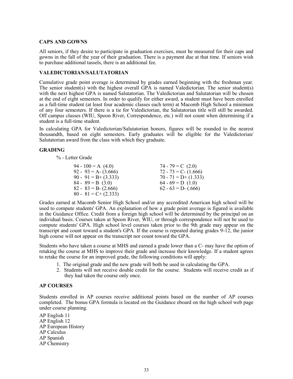#### **CAPS AND GOWNS**

All seniors, if they desire to participate in graduation exercises, must be measured for their caps and gowns in the fall of the year of their graduation. There is a payment due at that time. If seniors wish to purchase additional tassels, there is an additional fee.

#### **VALEDICTORIAN/SALUTATORIAN**

Cumulative grade point average is determined by grades earned beginning with the freshman year. The senior student(s) with the highest overall GPA is named Valedictorian. The senior student(s) with the next highest GPA is named Salutatorian. The Valedictorian and Salutatorian will be chosen at the end of eight semesters. In order to qualify for either award, a student must have been enrolled as a full-time student (at least four academic classes each term) at Macomb High School a minimum of any four semesters. If there is a tie for Valedictorian, the Salutatorian title will still be awarded. Off campus classes (WIU, Spoon River, Correspondence, etc.) will not count when determining if a student is a full-time student.

In calculating GPA for Valedictorian/Salutatorian honors, figures will be rounded to the nearest thousandth, based on eight semesters. Early graduates will be eligible for the Valedictorian/ Salutatorian award from the class with which they graduate.

#### **GRADING**

% - Letter Grade

| 94 - 100 = A $(4.0)$    | 74 - 79 = C $(2.0)$     |
|-------------------------|-------------------------|
| $92 - 93 = A - (3.666)$ | $72 - 73 = C - (1.666)$ |
| $90 - 91 = B + (3.333)$ | $70 - 71 = D+ (1.333)$  |
| $84 - 89 = B(3.0)$      | $64 - 69 = D(1.0)$      |
| $82 - 83 = B - (2.666)$ | $62 - 63 = D - (.666)$  |
| $80 - 81 = C + (2.333)$ |                         |

Grades earned at Macomb Senior High School and/or any accredited American high school will be used to compute students' GPA. An explanation of how a grade point average is figured is available in the Guidance Office. Credit from a foreign high school will be determined by the principal on an individual basis. Courses taken at Spoon River, WIU, or through correspondence will not be used to compute students' GPA. High school level courses taken prior to the 9th grade may appear on the transcript and count toward a student's GPA. If the course is repeated during grades 9-12, the junior high course will not appear on the transcript nor count toward the GPA.

Students who have taken a course at MHS and earned a grade lower than a C- may have the option of retaking the course at MHS to improve their grade and increase their knowledge. If a student agrees to retake the course for an improved grade, the following conditions will apply:

- 1. The original grade and the new grade will both be used in calculating the GPA.
- 2. Students will not receive double credit for the course. Students will receive credit as if they had taken the course only once.

#### **AP COURSES**

Students enrolled in AP courses receive additional points based on the number of AP courses completed. The bonus GPA formula is located on the Guidance eboard on the high school web page under course planning.

AP English 11 AP English 12 AP European History AP Calculus AP Spanish AP Chemistry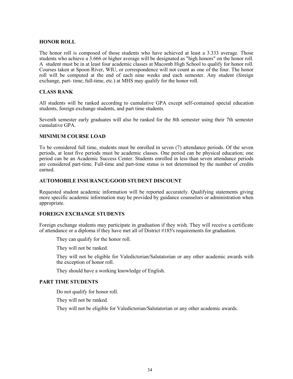#### **HONOR ROLL**

The honor roll is composed of those students who have achieved at least a 3.333 average. Those students who achieve a 3.666 or higher average will be designated as "high honors" on the honor roll. A student must be in at least four academic classes at Macomb High School to qualify for honor roll. Courses taken at Spoon River, WIU, or correspondence will not count as one of the four. The honor roll will be computed at the end of each nine weeks and each semester. Any student (foreign exchange, part- time, full-time, etc.) at MHS may qualify for the honor roll.

#### **CLASS RANK**

All students will be ranked according to cumulative GPA except self-contained special education students, foreign exchange students, and part time students.

Seventh semester early graduates will also be ranked for the 8th semester using their 7th semester cumulative GPA.

#### **MINIMUM COURSE LOAD**

To be considered full time, students must be enrolled in seven (7) attendance periods. Of the seven periods, at least five periods must be academic classes. One period can be physical education; one period can be an Academic Success Center. Students enrolled in less than seven attendance periods are considered part-time. Full-time and part-time status is not determined by the number of credits earned.

#### **AUTOMOBILE INSURANCE/GOOD STUDENT DISCOUNT**

Requested student academic information will be reported accurately. Qualifying statements giving more specific academic information may be provided by guidance counselors or administration when appropriate.

#### **FOREIGN EXCHANGE STUDENTS**

Foreign exchange students may participate in graduation if they wish. They will receive a certificate of attendance or a diploma if they have met all of District #185's requirements for graduation.

They can qualify for the honor roll.

They will not be ranked.

They will not be eligible for Valedictorian/Salutatorian or any other academic awards with the exception of honor roll.

They should have a working knowledge of English.

#### **PART TIME STUDENTS**

Do not qualify for honor roll.

They will not be ranked.

They will not be eligible for Valedictorian/Salutatorian or any other academic awards.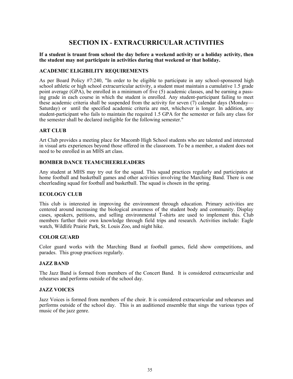# **SECTION IX - EXTRACURRICULAR ACTIVITIES**

#### **If a student is truant from school the day before a weekend activity or a holiday activity, then the student may not participate in activities during that weekend or that holiday.**

#### **ACADEMIC ELIGIBILITY REQUIREMENTS**

As per Board Policy #7:240, "In order to be eligible to participate in any school-sponsored high school athletic or high school extracurricular activity, a student must maintain a cumulative 1.5 grade point average (GPA), be enrolled in a minimum of five (5) academic classes, and be earning a passing grade in each course in which the student is enrolled. Any student-participant failing to meet these academic criteria shall be suspended from the activity for seven (7) calendar days (Monday— Saturday) or until the specified academic criteria are met, whichever is longer. In addition, any student-participant who fails to maintain the required 1.5 GPA for the semester or fails any class for the semester shall be declared ineligible for the following semester."

#### **ART CLUB**

Art Club provides a meeting place for Macomb High School students who are talented and interested in visual arts experiences beyond those offered in the classroom. To be a member, a student does not need to be enrolled in an MHS art class.

#### **BOMBER DANCE TEAM/CHEERLEADERS**

Any student at MHS may try out for the squad. This squad practices regularly and participates at home football and basketball games and other activities involving the Marching Band. There is one cheerleading squad for football and basketball. The squad is chosen in the spring.

#### **ECOLOGY CLUB**

This club is interested in improving the environment through education. Primary activities are centered around increasing the biological awareness of the student body and community. Display cases, speakers, petitions, and selling environmental T-shirts are used to implement this. Club members further their own knowledge through field trips and research. Activities include: Eagle watch, Wildlife Prairie Park, St. Louis Zoo, and night hike.

#### **COLOR GUARD**

Color guard works with the Marching Band at football games, field show competitions, and parades. This group practices regularly.

#### **JAZZ BAND**

The Jazz Band is formed from members of the Concert Band. It is considered extracurricular and rehearses and performs outside of the school day.

#### **JAZZ VOICES**

Jazz Voices is formed from members of the choir. It is considered extracurricular and rehearses and performs outside of the school day. This is an auditioned ensemble that sings the various types of music of the jazz genre.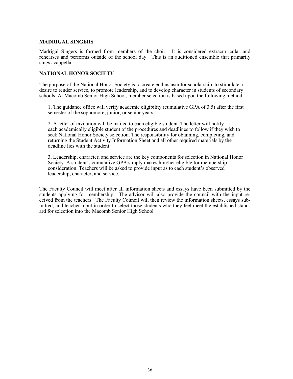#### **MADRIGAL SINGERS**

Madrigal Singers is formed from members of the choir. It is considered extracurricular and rehearses and performs outside of the school day. This is an auditioned ensemble that primarily sings acappella.

#### **NATIONAL HONOR SOCIETY**

The purpose of the National Honor Society is to create enthusiasm for scholarship, to stimulate a desire to render service, to promote leadership, and to develop character in students of secondary schools. At Macomb Senior High School, member selection is based upon the following method.

1. The guidance office will verify academic eligibility (cumulative GPA of 3.5) after the first semester of the sophomore, junior, or senior years.

2. A letter of invitation will be mailed to each eligible student. The letter will notify each academically eligible student of the procedures and deadlines to follow if they wish to seek National Honor Society selection. The responsibility for obtaining, completing, and returning the Student Activity Information Sheet and all other required materials by the deadline lies with the student.

3. Leadership, character, and service are the key components for selection in National Honor Society. A student's cumulative GPA simply makes him/her eligible for membership consideration. Teachers will be asked to provide input as to each student's observed leadership, character, and service.

The Faculty Council will meet after all information sheets and essays have been submitted by the students applying for membership. The advisor will also provide the council with the input received from the teachers. The Faculty Council will then review the information sheets, essays submitted, and teacher input in order to select those students who they feel meet the established standard for selection into the Macomb Senior High School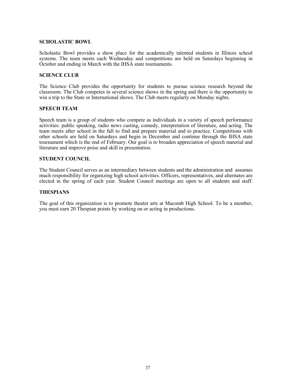#### **SCHOLASTIC BOWL**

Scholastic Bowl provides a show place for the academically talented students in Illinois school systems. The team meets each Wednesday and competitions are held on Saturdays beginning in October and ending in March with the IHSA state tournaments.

#### **SCIENCE CLUB**

The Science Club provides the opportunity for students to pursue science research beyond the classroom. The Club competes in several science shows in the spring and there is the opportunity to win a trip to the State or International shows. The Club meets regularly on Monday nights.

#### **SPEECH TEAM**

Speech team is a group of students who compete as individuals in a variety of speech performance activities: public speaking, radio news casting, comedy, interpretation of literature, and acting. The team meets after school in the fall to find and prepare material and to practice. Competitions with other schools are held on Saturdays and begin in December and continue through the IHSA state tournament which is the end of February. Our goal is to broaden appreciation of speech material and literature and improve poise and skill in presentation.

#### **STUDENT COUNCIL**

The Student Council serves as an intermediary between students and the administration and assumes much responsibility for organizing high school activities. Officers, representatives, and alternates are elected in the spring of each year. Student Council meetings are open to all students and staff.

#### **THESPIANS**

The goal of this organization is to promote theater arts at Macomb High School. To be a member, you must earn 20 Thespian points by working on or acting in productions.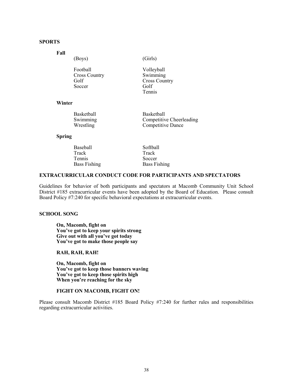#### **SPORTS**

#### **Fall**

(Boys) (Girls)

| Football             | Volleyball           |
|----------------------|----------------------|
| <b>Cross Country</b> | Swimming             |
| Golf                 | <b>Cross Country</b> |
| Soccer               | Golf                 |
|                      | Tennis               |

#### **Winter**

| Basketball | Basketball               |
|------------|--------------------------|
| Swimming   | Competitive Cheerleading |
| Wrestling  | Competitive Dance        |

#### **Spring**

| Baseball            | Softball            |
|---------------------|---------------------|
| Track               | Track               |
| Tennis              | Soccer              |
| <b>Bass Fishing</b> | <b>Bass Fishing</b> |

#### **EXTRACURRICULAR CONDUCT CODE FOR PARTICIPANTS AND SPECTATORS**

Guidelines for behavior of both participants and spectators at Macomb Community Unit School District #185 extracurricular events have been adopted by the Board of Education. Please consult Board Policy #7:240 for specific behavioral expectations at extracurricular events.

#### **SCHOOL SONG**

**On, Macomb, fight on You've got to keep your spirits strong Give out with all you've got today You've got to make those people say**

#### **RAH, RAH, RAH!**

**On, Macomb, fight on You've got to keep those banners waving You've got to keep those spirits high When you're reaching for the sky**

#### **FIGHT ON MACOMB, FIGHT ON!**

Please consult Macomb District #185 Board Policy #7:240 for further rules and responsibilities regarding extracurricular activities.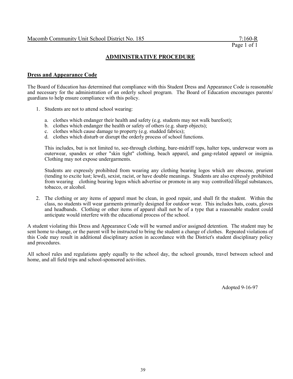## **ADMINISTRATIVE PROCEDURE**

#### **Dress and Appearance Code**

The Board of Education has determined that compliance with this Student Dress and Appearance Code is reasonable and necessary for the administration of an orderly school program. The Board of Education encourages parents/ guardians to help ensure compliance with this policy.

- 1. Students are not to attend school wearing:
	- a. clothes which endanger their health and safety (e.g. students may not walk barefoot);
	- b. clothes which endanger the health or safety of others (e.g. sharp objects);
	- c. clothes which cause damage to property (e.g. studded fabrics);
	- d. clothes which disturb or disrupt the orderly process of school functions.

This includes, but is not limited to, see-through clothing, bare-midriff tops, halter tops, underwear worn as outerwear, spandex or other "skin tight" clothing, beach apparel, and gang-related apparel or insignia. Clothing may not expose undergarments.

Students are expressly prohibited from wearing any clothing bearing logos which are obscene, prurient (tending to excite lust; lewd), sexist, racist, or have double meanings. Students are also expressly prohibited from wearing clothing bearing logos which advertise or promote in any way controlled/illegal substances, tobacco, or alcohol.

2. The clothing or any items of apparel must be clean, in good repair, and shall fit the student. Within the class, no students will wear garments primarily designed for outdoor wear. This includes hats, coats, gloves and headbands. Clothing or other items of apparel shall not be of a type that a reasonable student could anticipate would interfere with the educational process of the school.

A student violating this Dress and Appearance Code will be warned and/or assigned detention. The student may be sent home to change, or the parent will be instructed to bring the student a change of clothes. Repeated violations of this Code may result in additional disciplinary action in accordance with the District's student disciplinary policy and procedures.

All school rules and regulations apply equally to the school day, the school grounds, travel between school and home, and all field trips and school-sponsored activities.

Adopted 9-16-97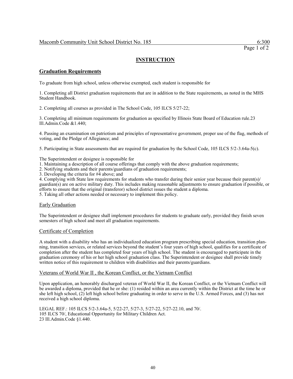#### **INSTRUCTION**

#### **Graduation Requirements**

To graduate from high school, unless otherwise exempted, each student is responsible for

1. Completing all District graduation requirements that are in addition to the State requirements, as noted in the MHS Student Handbook.

2. Completing all courses as provided in The School Code, 105 ILCS 5/27-22;

3. Completing all minimum requirements for graduation as specified by Illinois State Board of Education rule.23 Ill.Admin.Code &1.440;

4. Passing an examination on patriotism and principles of representative government, proper use of the flag, methods of voting, and the Pledge of Allegiance; and

5. Participating in State assessments that are required for graduation by the School Code, 105 ILCS 5/2-3.64a-5(c).

The Superintendent or designee is responsible for

1. Maintaining a description of all course offerings that comply with the above graduation requirements;

2. Notifying students and their parents/guardians of graduation requirements;

3. Developing the criteria for #4 above; and

4. Complying with State law requirements for students who transfer during their senior year because their parent(s)/

guardian(s) are on active military duty. This includes making reasonable adjustments to ensure graduation if possible, or efforts to ensure that the original (transferor) school district issues the student a diploma.

5. Taking all other actions needed or necessary to implement this policy.

#### Early Graduation

The Superintendent or designee shall implement procedures for students to graduate early, provided they finish seven semesters of high school and meet all graduation requirements.

#### Certificate of Completion

A student with a disability who has an individualized education program prescribing special education, transition planning, transition services, or related services beyond the student's four years of high school, qualifies for a certificate of completion after the student has completed four years of high school. The student is encouraged to participate in the graduation ceremony of his or her high school graduation class. The Superintendent or designee shall provide timely written notice of this requirement to children with disabilities and their parents/guardians.

#### Veterans of World War II , the Korean Conflict, or the Vietnam Conflict

Upon application, an honorably discharged veteran of World War II, the Korean Conflict, or the Vietnam Conflict will be awarded a diploma, provided that he or she: (1) resided within an area currently within the District at the time he or she left high school, (2) left high school before graduating in order to serve in the U.S. Armed Forces, and (3) has not received a high school diploma.

LEGAL REF.: 105 ILCS 5/2-3.64a-5, 5/22-27, 5/27-3, 5/27-22, 5/27-22.10, and 70/. 105 ILCS 70/, Educational Opportunity for Military Children Act. 23 Ill.Admin.Code §1.440.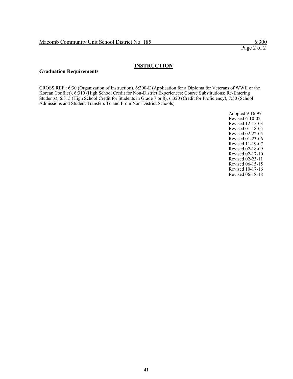#### **INSTRUCTION**

#### **Graduation Requirements**

CROSS REF.: 6:30 (Organization of Instruction), 6:300-E (Application for a Diploma for Veterans of WWII or the Korean Conflict), 6:310 (High School Credit for Non-District Experiences; Course Substitutions; Re-Entering Students), 6:315 (High School Credit for Students in Grade 7 or 8), 6:320 (Credit for Proficiency), 7:50 (School Admissions and Student Transfers To and From Non-District Schools)

> Adopted 9-16-97 Revised 6-10-02 Revised 12-15-03 Revised 01-18-05 Revised 02-22-05 Revised 01-23-06 Revised 11-19-07 Revised 02-18-09 Revised 02-17-10 Revised 02-23-11 Revised 06-15-15 Revised 10-17-16 Revised 06-18-18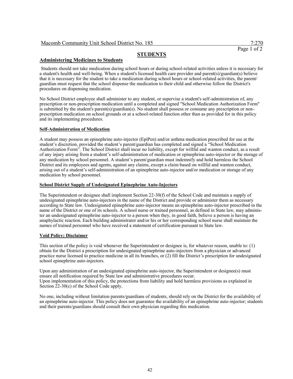Page 1 of 2

## **STUDENTS**

#### **Administering Medicines to Students**

Students should not take medication during school hours or during school-related activities unless it is necessary for a student's health and well-being. When a student's licensed health care provider and parent(s)/guardian(s) believe that it is necessary for the student to take a medication during school hours or school-related activities, the parent/ guardian must request that the school dispense the medication to their child and otherwise follow the District's procedures on dispensing medication.

No School District employee shall administer to any student, or supervise a student's self-administration of, any prescription or non-prescription medication until a completed and signed "School Medication Authorization Form" is submitted by the student's parent(s)/guardian(s). No student shall possess or consume any prescription or nonprescription medication on school grounds or at a school-related function other than as provided for in this policy and its implementing procedures.

#### **Self-Administration of Medication**

A student may possess an epinephrine auto-injector (EpiPen) and/or asthma medication prescribed for use at the student's discretion, provided the student's parent/guardian has completed and signed a "School Medication Authorization Form". The School District shall incur no liability, except for willful and wanton conduct, as a result of any injury arising from a student's self-administration of medication or epinephrine auto-injector or the storage of any medication by school personnel. A student's parent/guardian must indemnify and hold harmless the School District and its employees and agents, against any claims, except a claim based on willful and wanton conduct, arising out of a student's self-administration of an epinephrine auto-injector and/or medication or storage of any medication by school personnel.

#### **School District Supply of Undesignated Epinephrine Auto-Injectors**

The Superintendent or designee shall implement Section 22-30(f) of the School Code and maintain a supply of undesignated epinephrine auto-injectors in the name of the District and provide or administer them as necessary according to State law. Undesignated epinephrine auto-injector means an epinephrine auto-injector prescribed in the name of the District or one of its schools. A school nurse or trained personnel, as defined in State law, may administer an undesignated epinephrine auto-injector to a person when they, in good faith, believe a person is having an anaphylactic reaction. Each building administrator and/or his or her corresponding school nurse shall maintain the names of trained personnel who have received a statement of certification pursuant to State law.

#### **Void Policy; Disclaimer**

This section of the policy is void whenever the Superintendent or designee is, for whatever reason, unable to: (1) obtain for the District a prescription for undesignated epinephrine auto-injectors from a physician or advanced practice nurse licensed to practice medicine in all its branches, or (2) fill the District's prescription for undesignated school epinephrine auto-injectors.

Upon any administration of an undesignated epinephrine auto-injector, the Superintendent or designee(s) must ensure all notification required by State law and administrative procedures occur. Upon implementation of this policy, the protections from liability and hold harmless provisions as explained in Section 22-30(c) of the School Code apply.

No one, including without limitation parents/guardians of students, should rely on the District for the availability of an epinephrine auto-injector. This policy does not guarantee the availability of an epinephrine auto-injector; students and their parents/guardians should consult their own physician regarding this medication.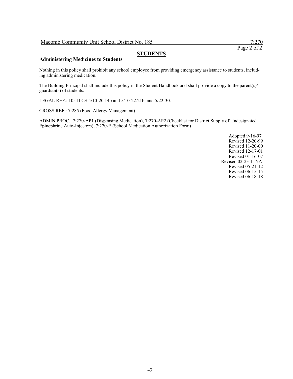Page 2 of 2

## **STUDENTS**

#### **Administering Medicines to Students**

Nothing in this policy shall prohibit any school employee from providing emergency assistance to students, including administering medication.

The Building Principal shall include this policy in the Student Handbook and shall provide a copy to the parent(s)/ guardian(s) of students.

LEGAL REF.: 105 ILCS 5/10-20.14b and 5/10-22.21b, and 5/22-30.

CROSS REF.: 7:285 (Food Allergy Management)

ADMIN.PROC.: 7:270-AP1 (Dispensing Medication), 7:270-AP2 (Checklist for District Supply of Undesignated Epinephrine Auto-Injectors), 7:270-E (School Medication Authorization Form)

> Adopted 9-16-97 Revised 12-20-99 Revised 11-20-00 Revised 12-17-01 Revised 01-16-07 Revised 02-23-11NA Revised 05-21-12 Revised 06-15-15 Revised 06-18-18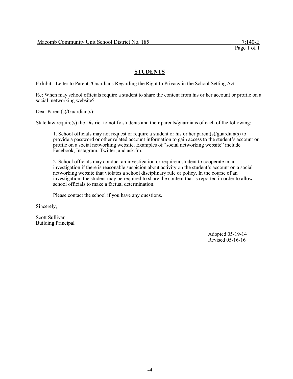#### Exhibit - Letter to Parents/Guardians Regarding the Right to Privacy in the School Setting Act

Re: When may school officials require a student to share the content from his or her account or profile on a social networking website?

Dear Parent(s)/Guardian(s):

State law require(s) the District to notify students and their parents/guardians of each of the following:

1. School officials may not request or require a student or his or her parent(s)/guardian(s) to provide a password or other related account information to gain access to the student's account or profile on a social networking website. Examples of "social networking website" include Facebook, Instagram, Twitter, and ask.fm.

2. School officials may conduct an investigation or require a student to cooperate in an investigation if there is reasonable suspicion about activity on the student's account on a social networking website that violates a school disciplinary rule or policy. In the course of an investigation, the student may be required to share the content that is reported in order to allow school officials to make a factual determination.

Please contact the school if you have any questions.

Sincerely,

Scott Sullivan Building Principal

> Adopted 05-19-14 Revised 05-16-16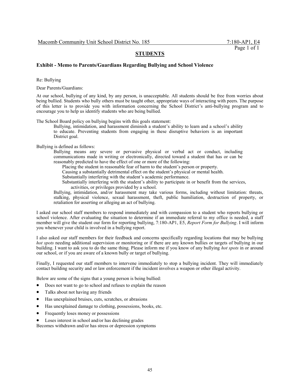#### **Exhibit - Memo to Parents/Guardians Regarding Bullying and School Violence**

Re: Bullying

Dear Parents/Guardians:

At our school, bullying of any kind, by any person, is unacceptable. All students should be free from worries about being bullied. Students who bully others must be taught other, appropriate ways of interacting with peers. The purpose of this letter is to provide you with information concerning the School District's anti-bullying program and to encourage you to help us identify students who are being bullied.

The School Board policy on bullying begins with this goals statement:

Bullying, intimidation, and harassment diminish a student's ability to learn and a school's ability to educate. Preventing students from engaging in these disruptive behaviors is an important District goal.

Bullying is defined as follows:

Bullying means any severe or pervasive physical or verbal act or conduct, including communications made in writing or electronically, directed toward a student that has or can be reasonably predicted to have the effect of one or more of the following:

Placing the student in reasonable fear of harm to the student's person or property.

Causing a substantially detrimental effect on the student's physical or mental health.

Substantially interfering with the student's academic performance.

Substantially interfering with the student's ability to participate in or benefit from the services, activities, or privileges provided by a school.

Bullying, intimidation, and/or harassment may take various forms, including without limitation: threats, stalking, physical violence, sexual harassment, theft, public humiliation, destruction of property, or retaliation for asserting or alleging an act of bullying.

I asked our school staff members to respond immediately and with compassion to a student who reports bullying or school violence. After evaluating the situation to determine if an immediate referral to my office is needed, a staff member will give the student our form for reporting bullying, 7:180-AP1, E5, *Report Form for Bullying*. I will inform you whenever your child is involved in a bullying report.

I also asked our staff members for their feedback and concerns specifically regarding locations that may be bullying *hot spots* needing additional supervision or monitoring or if there are any known bullies or targets of bullying in our building. I want to ask you to do the same thing. Please inform me if you know of any bullying *hot spots* in or around our school, or if you are aware of a known bully or target of bullying.

Finally, I requested our staff members to intervene immediately to stop a bullying incident. They will immediately contact building security and or law enforcement if the incident involves a weapon or other illegal activity.

Below are some of the signs that a young person is being bullied:

- Does not want to go to school and refuses to explain the reason
- Talks about not having any friends
- Has unexplained bruises, cuts, scratches, or abrasions
- Has unexplained damage to clothing, possessions, books, etc.
- Frequently loses money or possessions
- Loses interest in school and/or has declining grades

Becomes withdrawn and/or has stress or depression symptoms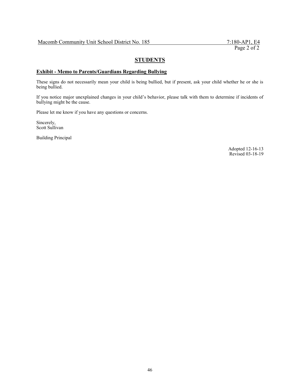#### **Exhibit - Memo to Parents/Guardians Regarding Bullying**

These signs do not necessarily mean your child is being bullied, but if present, ask your child whether he or she is being bullied.

If you notice major unexplained changes in your child's behavior, please talk with them to determine if incidents of bullying might be the cause.

Please let me know if you have any questions or concerns.

Sincerely, Scott Sullivan

Building Principal

Adopted 12-16-13 Revised 03-18-19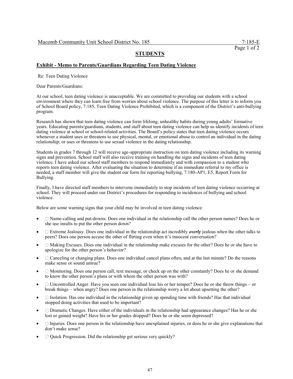#### **Exhibit - Memo to Parents/Guardians Regarding Teen Dating Violence**

Re: Teen Dating Violence

Dear Parents/Guardians:

At our school, teen dating violence is unacceptable. We are committed to providing our students with a school environment where they can learn free from worries about school violence. The purpose of this letter is to inform you of School Board policy, 7:185, Teen Dating Violence Prohibited, which is a component of the District's anti-bullying program.

Research has shown that teen dating violence can form lifelong, unhealthy habits during young adults' formative years. Educating parents/guardians, students, and staff about teen dating violence can help us identify incidents of teen dating violence at school or school-related activities. The Board's policy states that teen dating violence occurs whenever a student uses or threatens to use physical, mental, or emotional abuse to control an individual in the dating relationship; or uses or threatens to use sexual violence in the dating relationship.

Students in grades 7 through 12 will receive age-appropriate instruction on teen dating violence including its warning signs and prevention. School staff will also receive training on handling the signs and incidents of teen dating violence. I have asked our school staff members to respond immediately and with compassion to a student who reports teen dating violence. After evaluating the situation to determine if an immediate referral to my office is needed, a staff member will give the student our form for reporting bullying, 7:180-AP1, E5, Report Form for Bullying.

Finally, I have directed staff members to intervene immediately to stop incidents of teen dating violence occurring at school. They will proceed under our District's procedures for responding to incidences of bullying and school violence.

Below are some warning signs that your child may be involved in teen dating violence:

- Name-calling and put-downs. Does one individual in the relationship call the other person names? Does he or she use insults to put the other person down?
- Extreme Jealousy. Does one individual in the relationship act incredibly *overly* jealous when the other talks to peers? Does one person accuse the other of flirting even when it's innocent conversation?
- $\Box$  Making Excuses. Does one individual in the relationship make excuses for the other? Does he or she have to apologize for the other person's behavior?
- $\Box$  Canceling or changing plans. Does one individual cancel plans often, and at the last minute? Do the reasons make sense or sound untrue?
- $\Box$  Monitoring. Does one person call, text message, or check up on the other constantly? Does he or she demand to know the other person's plans or with whom the other person was with?
- $\Box$  Uncontrolled Anger. Have you seen one individual lose his or her temper? Does he or she throw things or break things – when angry? Does one person in the relationship worry a lot about upsetting the other?
- $\Box$  Isolation. Has one individual in the relationship given up spending time with friends? Has that individual stopped doing activities that used to be important?
- $\Box$  Dramatic Changes. Have either of the individuals in the relationship had appearance changes? Has he or she lost or gained weight? Have his or her grades dropped? Does he or she seem depressed?
- $\Box$  Injuries. Does one person in the relationship have unexplained injuries, or does he or she give explanations that don't make sense?
- $\Box$  Quick Progression. Did the relationship get serious very quickly?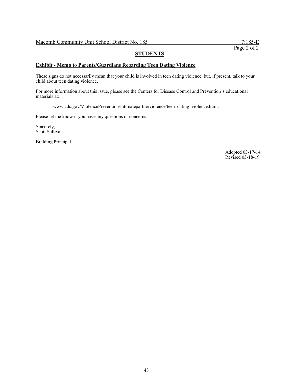#### **Exhibit - Memo to Parents/Guardians Regarding Teen Dating Violence**

These signs do not necessarily mean that your child is involved in teen dating violence, but, if present, talk to your child about teen dating violence.

For more information about this issue, please see the Centers for Disease Control and Prevention's educational materials at:

www.cdc.gov/ViolencePrevention/intimatepartnerviolence/teen\_dating\_violence.html.

Please let me know if you have any questions or concerns.

Sincerely, Scott Sullivan

Building Principal

Adopted 03-17-14 Revised 03-18-19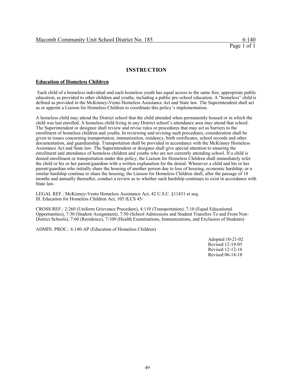#### **INSTRUCTION**

#### **Education of Homeless Children**

Each child of a homeless individual and each homeless youth has equal access to the same free, appropriate public education, as provided to other children and youths, including a public pre-school education. A "homeless" child is defined as provided in the McKinney*-*Vento Homeless Assistance Act and State law. The Superintendent shall act as or appoint a Liaison for Homeless Children to coordinate this policy's implementation.

A homeless child may attend the District school that the child attended when permanently housed or in which the child was last enrolled. A homeless child living in any District school's attendance area may attend that school. The Superintendent or designee shall review and revise rules or procedures that may act as barriers to the enrollment of homeless children and youths. In reviewing and revising such procedures, consideration shall be given to issues concerning transportation, immunization, residency, birth certificates, school records and other documentation, and guardianship. Transportation shall be provided in accordance with the McKinney Homeless Assistance Act and State law. The Superintendent or designee shall give special attention to ensuring the enrollment and attendance of homeless children and youths who are not currently attending school. If a child is denied enrollment or transportation under this policy, the Liaison for Homeless Children shall immediately refer the child or his or her parent/guardian with a written explanation for the denial. Whenever a child and his or her parent/guardian who initially share the housing of another person due to loss of housing, economic hardship, or a similar hardship continue to share the housing, the Liaison for Homeless Children shall, after the passage of 18 months and annually thereafter, conduct a review as to whether such hardship continues to exist in accordance with State law.

LEGAL REF.: McKinney*-*Vento Homeless Assistance Act, 42 U.S.C. §11431 et seq. Ill. Education for Homeless Children Act, 105 ILCS 45/

CROSS REF.: 2:260 (Uniform Grievance Procedure), 4:110 (Transportation), 7:10 (Equal Educational Opportunities), 7:30 (Student Assignment), 7:50 (School Admissions and Student Transfers To and From Non-District Schools), 7:60 (Residence), 7:100 (Health Examinations, Immunizations, and Exclusion of Students)

ADMIN. PROC.: 6:140-AP (Education of Homeless Children)

Adopted 10-21-02 Revised 12-19-05 Revised 12-12-16 Revised 06-18-18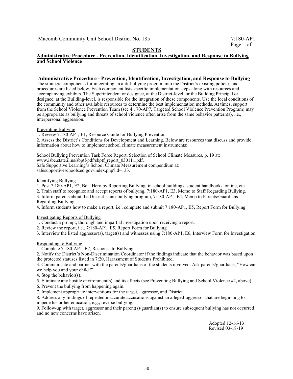#### **Administrative Procedure - Prevention, Identification, Investigation, and Response to Bullying and School Violence**

#### **Administrative Procedure - Prevention, Identification, Investigation, and Response to Bullying**

The strategic components for integrating an anti-bullying program into the District's existing policies and procedures are listed below. Each component lists specific implementation steps along with resources and accompanying exhibits. The Superintendent or designee, at the District-level, or the Building Principal or designee, at the Building-level, is responsible for the integration of these components. Use the local conditions of the community and other available resources to determine the best implementation methods. At times, support from the School Violence Prevention Team (see 4:170-AP7, Targeted School Violence Prevention Program) may be appropriate as bullying and threats of school violence often arise from the same behavior pattern(s), i.e., interpersonal aggression.

#### Preventing Bullying

1. Review 7:180-AP1, E1, Resource Guide for Bullying Prevention.

2. Assess the District's Conditions for Development and Learning. Below are resources that discuss and provide information about how to implement school climate measurement instruments:

School Bullying Prevention Task Force Report, Selection of School Climate Measures, p. 19 at: www.isbe.state.il.us/sbptf/pdf/sbptf\_report\_030111.pdf. Safe Supportive Learning's School Climate Measurement compendium at: safesupportiveschools.ed.gov/index.php?id=133.

#### Identifying Bullying

1. Post 7:180-AP1, E2, Be a Hero by Reporting Bullying, in school buildings, student handbooks, online, etc.

2. Train staff to recognize and accept reports of bullying, 7:180-AP1, E3, Memo to Staff Regarding Bullying. 3. Inform parents about the District's anti-bullying program, 7:180-AP1, E4, Memo to Parents/Guardians

Regarding Bullying.

4. Inform students how to make a report, i.e., complete and submit 7:180-AP1, E5, Report Form for Bullying.

Investigating Reports of Bullying

1. Conduct a prompt, thorough and impartial investigation upon receiving a report.

2. Review the report, i.e., 7:180-AP1, E5, Report Form for Bullying.

3. Interview the listed aggressor(s), target(s) and witnesses using 7:180-AP1, E6, Interview Form for Investigation.

#### Responding to Bullying

1. Complete 7:180-AP1, E7, Response to Bullying

2. Notify the District's Non-Discrimination Coordinator if the findings indicate that the behavior was based upon the protected statuses listed in 7:20, Harassment of Students Prohibited.

3. Communicate and partner with the parents/guardians of the students involved. Ask parents/guardians, "How can we help you and your child?"

4. Stop the behavior(s).

5. Eliminate any hostile environment(s) and its effects (see Preventing Bullying and School Violence #2, above).

6. Prevent the bullying from happening again.

7. Implement appropriate interventions for the target, aggressor, and District.

8. Address any findings of repeated inaccurate accusations against an alleged-aggressor that are beginning to impede his or her education, e.g., reverse bullying.

9. Follow-up with target, aggressor and their parent(s)/guardian(s) to ensure subsequent bullying has not occurred and no new concerns have arisen.

> Adopted 12-16-13 Revised 03-18-19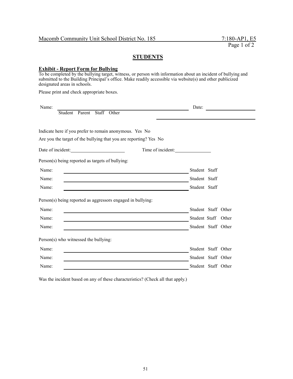#### **Exhibit - Report Form for Bullying**

To be completed by the bullying target, witness, or person with information about an incident of bullying and submitted to the Building Principal's office. Make readily accessible via website(s) and other publicized designated areas in schools.

Please print and check appropriate boxes.

| Name:                                                                                                                                                                                                                                  | Date:             |                     |
|----------------------------------------------------------------------------------------------------------------------------------------------------------------------------------------------------------------------------------------|-------------------|---------------------|
| Staff<br>Other<br>Student Parent                                                                                                                                                                                                       |                   |                     |
|                                                                                                                                                                                                                                        |                   |                     |
| Indicate here if you prefer to remain anonymous. Yes No                                                                                                                                                                                |                   |                     |
| Are you the target of the bullying that you are reporting? Yes No                                                                                                                                                                      |                   |                     |
| Date of incident:                                                                                                                                                                                                                      | Time of incident: |                     |
| Person(s) being reported as targets of bullying:                                                                                                                                                                                       |                   |                     |
| Name:                                                                                                                                                                                                                                  | Student Staff     |                     |
| Name:                                                                                                                                                                                                                                  | Student Staff     |                     |
| Name:                                                                                                                                                                                                                                  | Student Staff     |                     |
| Person(s) being reported as aggressors engaged in bullying:                                                                                                                                                                            |                   |                     |
| Name:                                                                                                                                                                                                                                  |                   | Student Staff Other |
| Name:                                                                                                                                                                                                                                  |                   | Student Staff Other |
| Name:                                                                                                                                                                                                                                  |                   | Student Staff Other |
| Person(s) who witnessed the bullying:                                                                                                                                                                                                  |                   |                     |
| Name:<br>the contract of the contract of the contract of the contract of the contract of the contract of the                                                                                                                           |                   | Student Staff Other |
| Name:<br>the control of the control of the control of the control of the control of the control of the control of the control of the control of the control of the control of the control of the control of the control of the control |                   | Student Staff Other |
| Name:                                                                                                                                                                                                                                  |                   | Student Staff Other |

Was the incident based on any of these characteristics? (Check all that apply.)